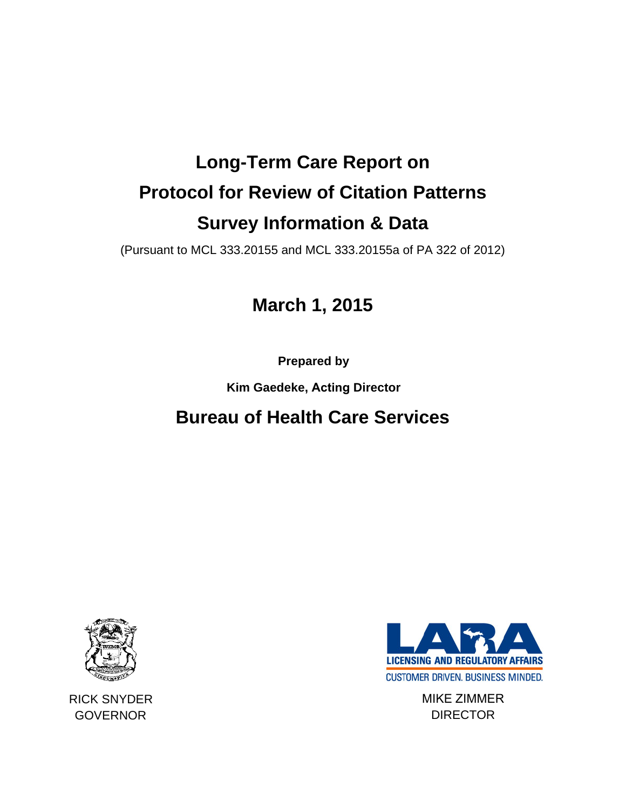# **Long-Term Care Report on Protocol for Review of Citation Patterns Survey Information & Data**

(Pursuant to MCL 333.20155 and MCL 333.20155a of PA 322 of 2012)

# **March 1, 2015**

**Prepared by** 

**Kim Gaedeke, Acting Director** 

# **Bureau of Health Care Services**



RICK SNYDER **GOVERNOR** 



MIKE ZIMMER **DIRECTOR**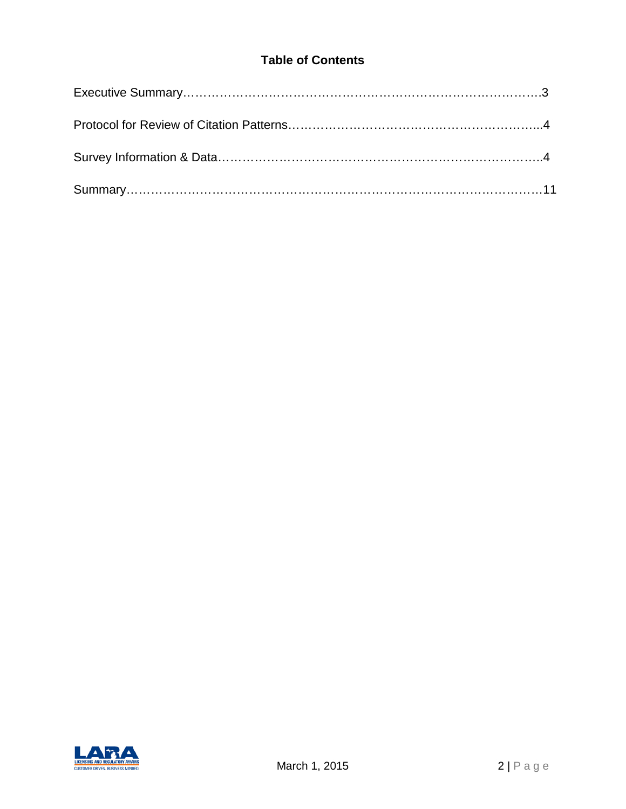# **Table of Contents**

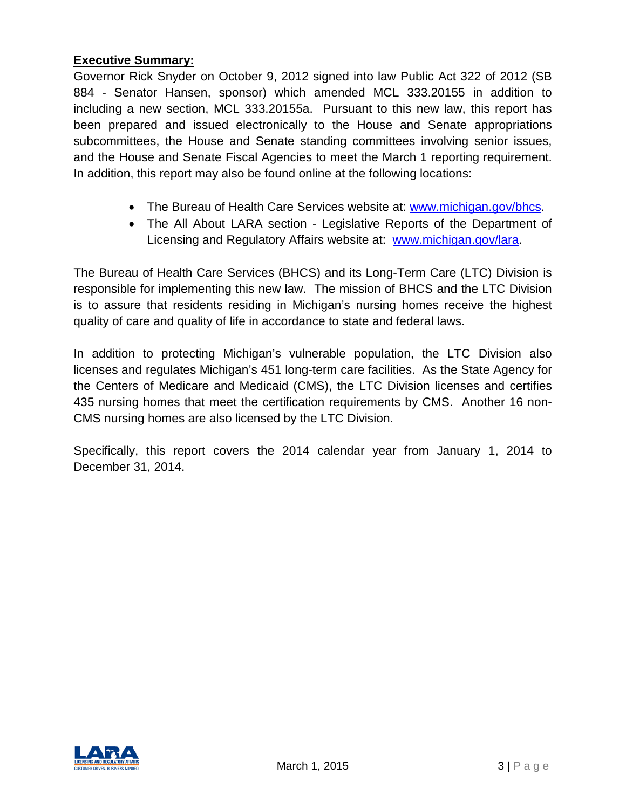#### **Executive Summary:**

Governor Rick Snyder on October 9, 2012 signed into law Public Act 322 of 2012 (SB 884 - Senator Hansen, sponsor) which amended MCL 333.20155 in addition to including a new section, MCL 333.20155a. Pursuant to this new law, this report has been prepared and issued electronically to the House and Senate appropriations subcommittees, the House and Senate standing committees involving senior issues, and the House and Senate Fiscal Agencies to meet the March 1 reporting requirement. In addition, this report may also be found online at the following locations:

- The Bureau of Health Care Services website at: [www.michigan.gov/bhcs.](http://www.michigan.gov/bhcs)
- The All About LARA section Legislative Reports of the Department of Licensing and Regulatory Affairs website at: [www.michigan.gov/lara.](http://www.michigan.gov/lara)

The Bureau of Health Care Services (BHCS) and its Long-Term Care (LTC) Division is responsible for implementing this new law. The mission of BHCS and the LTC Division is to assure that residents residing in Michigan's nursing homes receive the highest quality of care and quality of life in accordance to state and federal laws.

In addition to protecting Michigan's vulnerable population, the LTC Division also licenses and regulates Michigan's 451 long-term care facilities. As the State Agency for the Centers of Medicare and Medicaid (CMS), the LTC Division licenses and certifies 435 nursing homes that meet the certification requirements by CMS. Another 16 non-CMS nursing homes are also licensed by the LTC Division.

Specifically, this report covers the 2014 calendar year from January 1, 2014 to December 31, 2014.

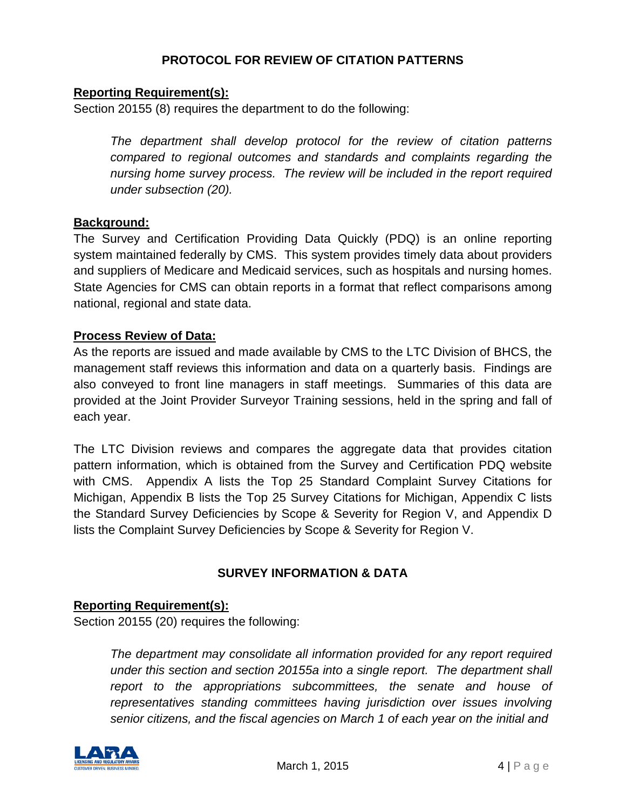### **PROTOCOL FOR REVIEW OF CITATION PATTERNS**

#### **Reporting Requirement(s):**

Section 20155 (8) requires the department to do the following:

*The department shall develop protocol for the review of citation patterns compared to regional outcomes and standards and complaints regarding the nursing home survey process. The review will be included in the report required under subsection (20).*

#### **Background:**

The Survey and Certification Providing Data Quickly (PDQ) is an online reporting system maintained federally by CMS. This system provides timely data about providers and suppliers of Medicare and Medicaid services, such as hospitals and nursing homes. State Agencies for CMS can obtain reports in a format that reflect comparisons among national, regional and state data.

#### **Process Review of Data:**

As the reports are issued and made available by CMS to the LTC Division of BHCS, the management staff reviews this information and data on a quarterly basis. Findings are also conveyed to front line managers in staff meetings. Summaries of this data are provided at the Joint Provider Surveyor Training sessions, held in the spring and fall of each year.

The LTC Division reviews and compares the aggregate data that provides citation pattern information, which is obtained from the Survey and Certification PDQ website with CMS. Appendix A lists the Top 25 Standard Complaint Survey Citations for Michigan, Appendix B lists the Top 25 Survey Citations for Michigan, Appendix C lists the Standard Survey Deficiencies by Scope & Severity for Region V, and Appendix D lists the Complaint Survey Deficiencies by Scope & Severity for Region V.

### **SURVEY INFORMATION & DATA**

#### **Reporting Requirement(s):**

Section 20155 (20) requires the following:

*The department may consolidate all information provided for any report required under this section and section 20155a into a single report. The department shall report to the appropriations subcommittees, the senate and house of representatives standing committees having jurisdiction over issues involving senior citizens, and the fiscal agencies on March 1 of each year on the initial and*

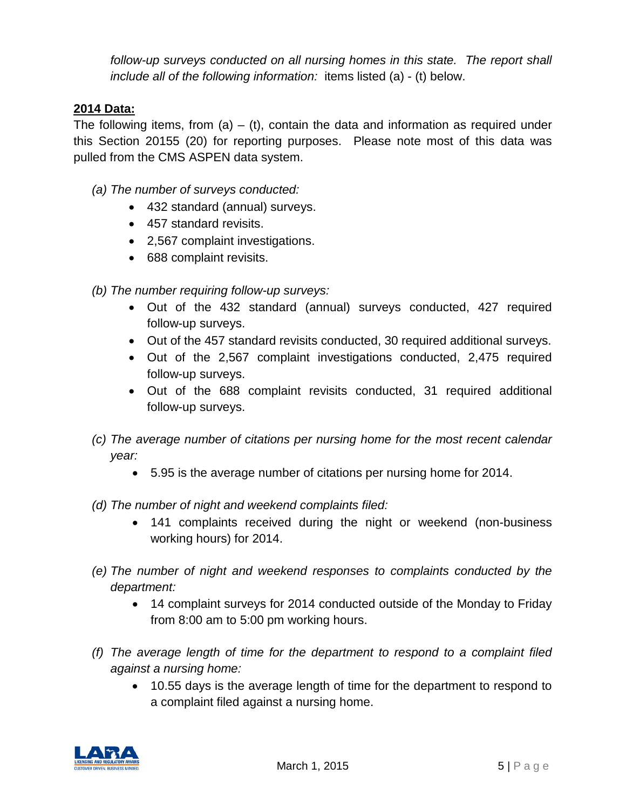*follow-up surveys conducted on all nursing homes in this state. The report shall include all of the following information:* items listed (a) - (t) below.

### **2014 Data:**

The following items, from (a)  $-$  (t), contain the data and information as required under this Section 20155 (20) for reporting purposes. Please note most of this data was pulled from the CMS ASPEN data system.

- *(a) The number of surveys conducted:*
	- 432 standard (annual) surveys.
	- 457 standard revisits.
	- 2,567 complaint investigations.
	- 688 complaint revisits.

*(b) The number requiring follow-up surveys:*

- Out of the 432 standard (annual) surveys conducted, 427 required follow-up surveys.
- Out of the 457 standard revisits conducted, 30 required additional surveys.
- Out of the 2,567 complaint investigations conducted, 2,475 required follow-up surveys.
- Out of the 688 complaint revisits conducted, 31 required additional follow-up surveys.
- *(c) The average number of citations per nursing home for the most recent calendar year:*
	- 5.95 is the average number of citations per nursing home for 2014.
- *(d) The number of night and weekend complaints filed:*
	- 141 complaints received during the night or weekend (non-business working hours) for 2014.
- *(e) The number of night and weekend responses to complaints conducted by the department:*
	- 14 complaint surveys for 2014 conducted outside of the Monday to Friday from 8:00 am to 5:00 pm working hours.
- *(f) The average length of time for the department to respond to a complaint filed against a nursing home:*
	- 10.55 days is the average length of time for the department to respond to a complaint filed against a nursing home.

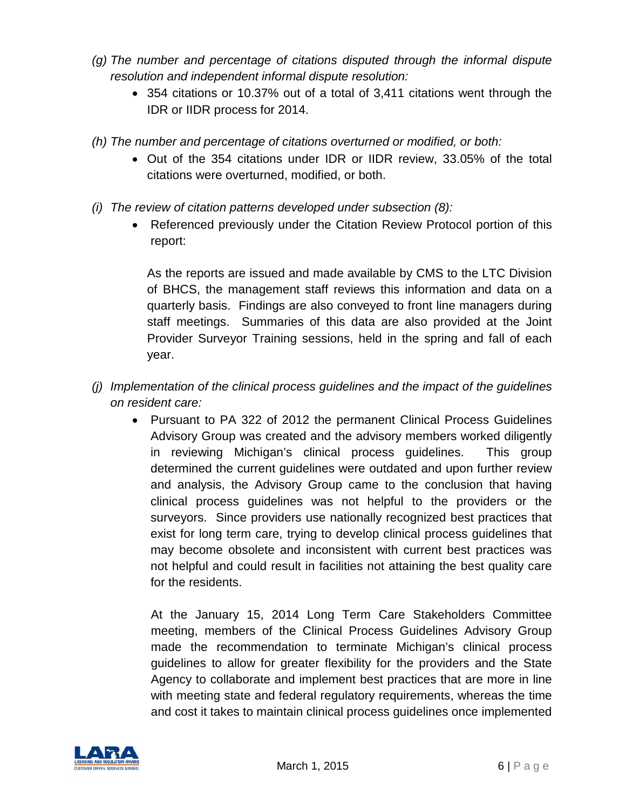- *(g) The number and percentage of citations disputed through the informal dispute resolution and independent informal dispute resolution:*
	- 354 citations or 10.37% out of a total of 3,411 citations went through the IDR or IIDR process for 2014.
- *(h) The number and percentage of citations overturned or modified, or both:*
	- Out of the 354 citations under IDR or IIDR review, 33.05% of the total citations were overturned, modified, or both.
- *(i) The review of citation patterns developed under subsection (8):*
	- Referenced previously under the Citation Review Protocol portion of this report:

As the reports are issued and made available by CMS to the LTC Division of BHCS, the management staff reviews this information and data on a quarterly basis. Findings are also conveyed to front line managers during staff meetings. Summaries of this data are also provided at the Joint Provider Surveyor Training sessions, held in the spring and fall of each year.

- *(j) Implementation of the clinical process guidelines and the impact of the guidelines on resident care:*
	- Pursuant to PA 322 of 2012 the permanent Clinical Process Guidelines Advisory Group was created and the advisory members worked diligently in reviewing Michigan's clinical process guidelines. This group determined the current guidelines were outdated and upon further review and analysis, the Advisory Group came to the conclusion that having clinical process guidelines was not helpful to the providers or the surveyors. Since providers use nationally recognized best practices that exist for long term care, trying to develop clinical process guidelines that may become obsolete and inconsistent with current best practices was not helpful and could result in facilities not attaining the best quality care for the residents.

At the January 15, 2014 Long Term Care Stakeholders Committee meeting, members of the Clinical Process Guidelines Advisory Group made the recommendation to terminate Michigan's clinical process guidelines to allow for greater flexibility for the providers and the State Agency to collaborate and implement best practices that are more in line with meeting state and federal regulatory requirements, whereas the time and cost it takes to maintain clinical process guidelines once implemented

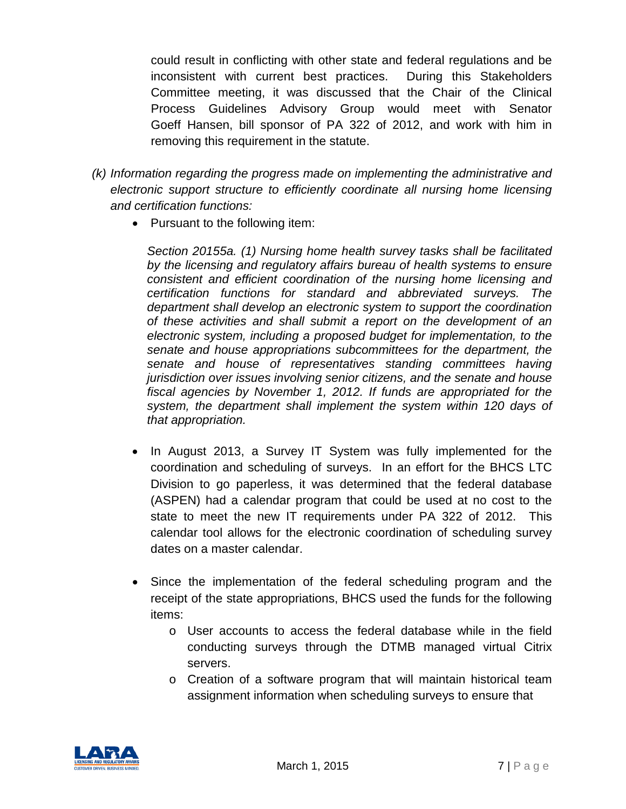could result in conflicting with other state and federal regulations and be inconsistent with current best practices. During this Stakeholders Committee meeting, it was discussed that the Chair of the Clinical Process Guidelines Advisory Group would meet with Senator Goeff Hansen, bill sponsor of PA 322 of 2012, and work with him in removing this requirement in the statute.

- *(k) Information regarding the progress made on implementing the administrative and electronic support structure to efficiently coordinate all nursing home licensing and certification functions:*
	- Pursuant to the following item:

*Section 20155a. (1) Nursing home health survey tasks shall be facilitated by the licensing and regulatory affairs bureau of health systems to ensure consistent and efficient coordination of the nursing home licensing and certification functions for standard and abbreviated surveys. The department shall develop an electronic system to support the coordination of these activities and shall submit a report on the development of an electronic system, including a proposed budget for implementation, to the senate and house appropriations subcommittees for the department, the senate and house of representatives standing committees having jurisdiction over issues involving senior citizens, and the senate and house fiscal agencies by November 1, 2012. If funds are appropriated for the system, the department shall implement the system within 120 days of that appropriation.*

- In August 2013, a Survey IT System was fully implemented for the coordination and scheduling of surveys. In an effort for the BHCS LTC Division to go paperless, it was determined that the federal database (ASPEN) had a calendar program that could be used at no cost to the state to meet the new IT requirements under PA 322 of 2012. This calendar tool allows for the electronic coordination of scheduling survey dates on a master calendar.
- Since the implementation of the federal scheduling program and the receipt of the state appropriations, BHCS used the funds for the following items:
	- o User accounts to access the federal database while in the field conducting surveys through the DTMB managed virtual Citrix servers.
	- o Creation of a software program that will maintain historical team assignment information when scheduling surveys to ensure that

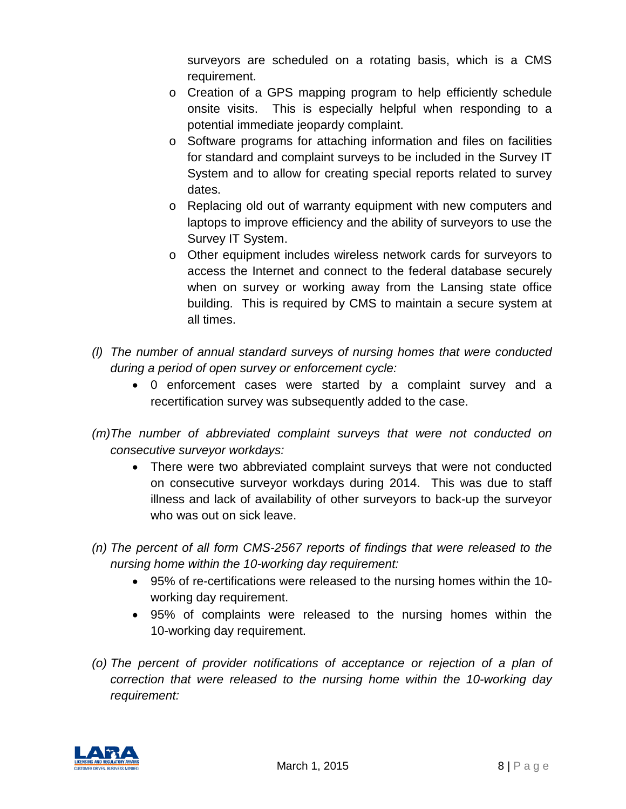surveyors are scheduled on a rotating basis, which is a CMS requirement.

- o Creation of a GPS mapping program to help efficiently schedule onsite visits. This is especially helpful when responding to a potential immediate jeopardy complaint.
- o Software programs for attaching information and files on facilities for standard and complaint surveys to be included in the Survey IT System and to allow for creating special reports related to survey dates.
- o Replacing old out of warranty equipment with new computers and laptops to improve efficiency and the ability of surveyors to use the Survey IT System.
- o Other equipment includes wireless network cards for surveyors to access the Internet and connect to the federal database securely when on survey or working away from the Lansing state office building. This is required by CMS to maintain a secure system at all times.
- *(l) The number of annual standard surveys of nursing homes that were conducted during a period of open survey or enforcement cycle:*
	- 0 enforcement cases were started by a complaint survey and a recertification survey was subsequently added to the case.
- *(m)The number of abbreviated complaint surveys that were not conducted on consecutive surveyor workdays:*
	- There were two abbreviated complaint surveys that were not conducted on consecutive surveyor workdays during 2014. This was due to staff illness and lack of availability of other surveyors to back-up the surveyor who was out on sick leave.
- *(n) The percent of all form CMS-2567 reports of findings that were released to the nursing home within the 10-working day requirement:*
	- 95% of re-certifications were released to the nursing homes within the 10 working day requirement.
	- 95% of complaints were released to the nursing homes within the 10-working day requirement.
- *(o) The percent of provider notifications of acceptance or rejection of a plan of correction that were released to the nursing home within the 10-working day requirement:*

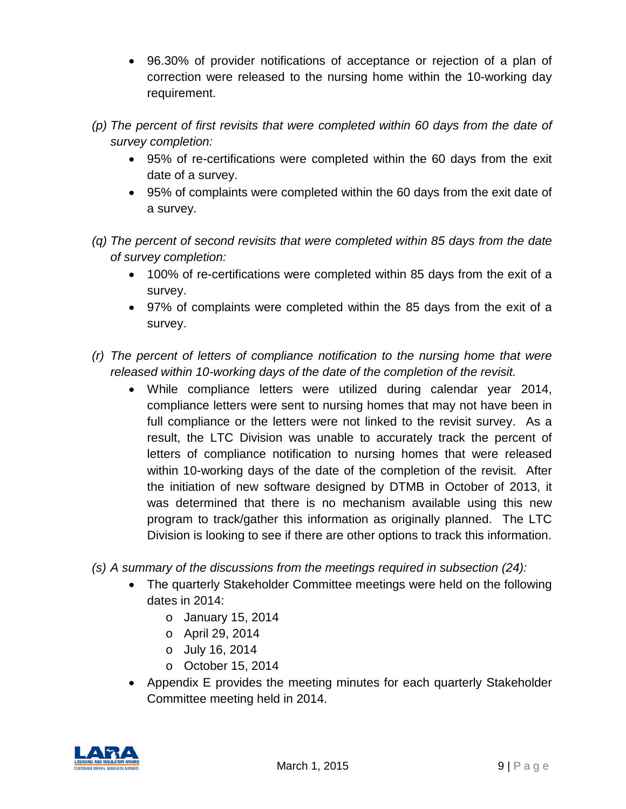- 96.30% of provider notifications of acceptance or rejection of a plan of correction were released to the nursing home within the 10-working day requirement.
- *(p) The percent of first revisits that were completed within 60 days from the date of survey completion:*
	- 95% of re-certifications were completed within the 60 days from the exit date of a survey.
	- 95% of complaints were completed within the 60 days from the exit date of a survey.
- *(q) The percent of second revisits that were completed within 85 days from the date of survey completion:*
	- 100% of re-certifications were completed within 85 days from the exit of a survey.
	- 97% of complaints were completed within the 85 days from the exit of a survey.
- *(r) The percent of letters of compliance notification to the nursing home that were released within 10-working days of the date of the completion of the revisit.*
	- While compliance letters were utilized during calendar year 2014, compliance letters were sent to nursing homes that may not have been in full compliance or the letters were not linked to the revisit survey. As a result, the LTC Division was unable to accurately track the percent of letters of compliance notification to nursing homes that were released within 10-working days of the date of the completion of the revisit. After the initiation of new software designed by DTMB in October of 2013, it was determined that there is no mechanism available using this new program to track/gather this information as originally planned. The LTC Division is looking to see if there are other options to track this information.
- *(s) A summary of the discussions from the meetings required in subsection (24):*
	- The quarterly Stakeholder Committee meetings were held on the following dates in 2014:
		- o January 15, 2014
		- o April 29, 2014
		- o July 16, 2014
		- o October 15, 2014
	- Appendix E provides the meeting minutes for each quarterly Stakeholder Committee meeting held in 2014.

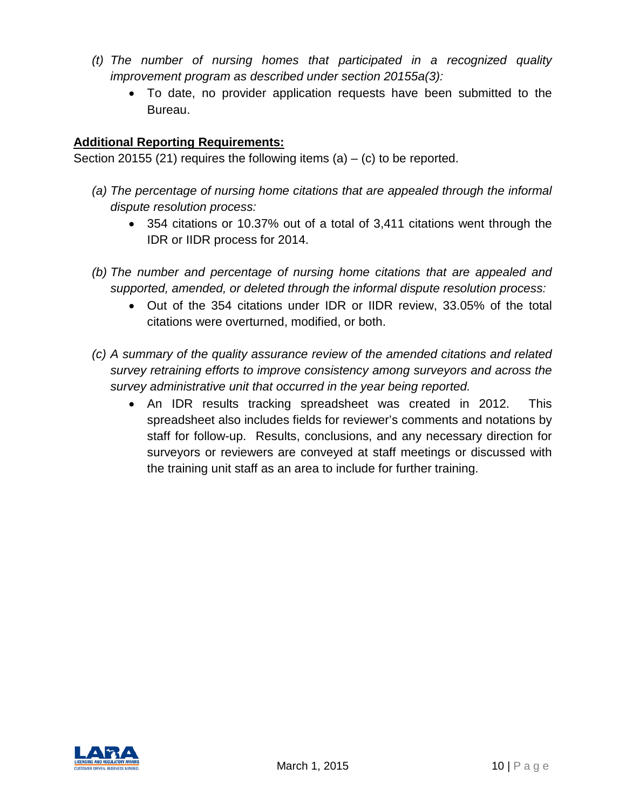- *(t) The number of nursing homes that participated in a recognized quality improvement program as described under section 20155a(3):*
	- To date, no provider application requests have been submitted to the Bureau.

## **Additional Reporting Requirements:**

Section 20155 (21) requires the following items (a)  $-$  (c) to be reported.

- *(a) The percentage of nursing home citations that are appealed through the informal dispute resolution process:*
	- 354 citations or 10.37% out of a total of 3,411 citations went through the IDR or IIDR process for 2014.
- *(b) The number and percentage of nursing home citations that are appealed and supported, amended, or deleted through the informal dispute resolution process:*
	- Out of the 354 citations under IDR or IIDR review, 33.05% of the total citations were overturned, modified, or both.
- *(c) A summary of the quality assurance review of the amended citations and related survey retraining efforts to improve consistency among surveyors and across the survey administrative unit that occurred in the year being reported.*
	- An IDR results tracking spreadsheet was created in 2012. This spreadsheet also includes fields for reviewer's comments and notations by staff for follow-up. Results, conclusions, and any necessary direction for surveyors or reviewers are conveyed at staff meetings or discussed with the training unit staff as an area to include for further training.

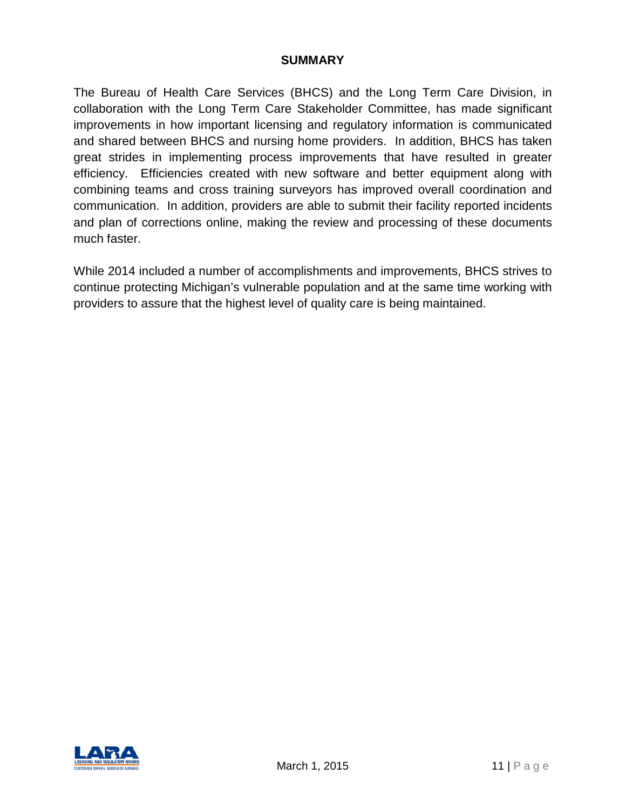#### **SUMMARY**

The Bureau of Health Care Services (BHCS) and the Long Term Care Division, in collaboration with the Long Term Care Stakeholder Committee, has made significant improvements in how important licensing and regulatory information is communicated and shared between BHCS and nursing home providers. In addition, BHCS has taken great strides in implementing process improvements that have resulted in greater efficiency. Efficiencies created with new software and better equipment along with combining teams and cross training surveyors has improved overall coordination and communication. In addition, providers are able to submit their facility reported incidents and plan of corrections online, making the review and processing of these documents much faster.

While 2014 included a number of accomplishments and improvements, BHCS strives to continue protecting Michigan's vulnerable population and at the same time working with providers to assure that the highest level of quality care is being maintained.

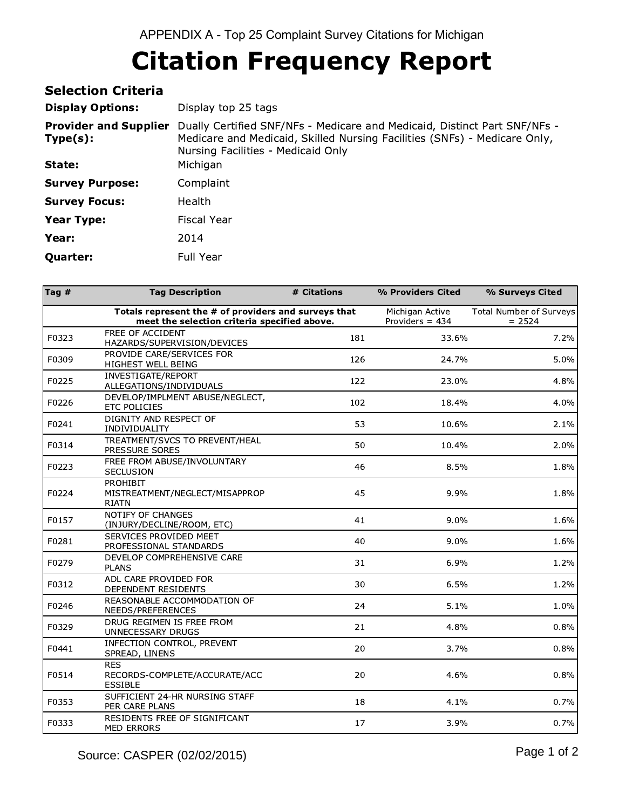| <b>Selection Criteria</b>                |                                                                                                                                                                                              |
|------------------------------------------|----------------------------------------------------------------------------------------------------------------------------------------------------------------------------------------------|
| <b>Display Options:</b>                  | Display top 25 tags                                                                                                                                                                          |
| <b>Provider and Supplier</b><br>Type(s): | Dually Certified SNF/NFs - Medicare and Medicaid, Distinct Part SNF/NFs -<br>Medicare and Medicaid, Skilled Nursing Facilities (SNFs) - Medicare Only,<br>Nursing Facilities - Medicaid Only |
| State:                                   | Michigan                                                                                                                                                                                     |
| <b>Survey Purpose:</b>                   | Complaint                                                                                                                                                                                    |
| <b>Survey Focus:</b>                     | <b>Health</b>                                                                                                                                                                                |
| Year Type:                               | Fiscal Year                                                                                                                                                                                  |
| Year:                                    | 2014                                                                                                                                                                                         |
| <b>Quarter:</b>                          | Full Year                                                                                                                                                                                    |

| Tag # | <b>Tag Description</b>                                                                               | # Citations | % Providers Cited                    | % Surveys Cited                     |
|-------|------------------------------------------------------------------------------------------------------|-------------|--------------------------------------|-------------------------------------|
|       | Totals represent the # of providers and surveys that<br>meet the selection criteria specified above. |             | Michigan Active<br>Providers $= 434$ | Total Number of Surveys<br>$= 2524$ |
| F0323 | FREE OF ACCIDENT<br>HAZARDS/SUPERVISION/DEVICES                                                      | 181         | 33.6%                                | 7.2%                                |
| F0309 | PROVIDE CARE/SERVICES FOR<br>HIGHEST WELL BEING                                                      | 126         | 24.7%                                | 5.0%                                |
| F0225 | INVESTIGATE/REPORT<br>ALLEGATIONS/INDIVIDUALS                                                        | 122         | 23.0%                                | 4.8%                                |
| F0226 | DEVELOP/IMPLMENT ABUSE/NEGLECT,<br>ETC POLICIES                                                      | 102         | 18.4%                                | 4.0%                                |
| F0241 | DIGNITY AND RESPECT OF<br>INDIVIDUALITY                                                              | 53          | 10.6%                                | 2.1%                                |
| F0314 | TREATMENT/SVCS TO PREVENT/HEAL<br>PRESSURE SORES                                                     | 50          | 10.4%                                | 2.0%                                |
| F0223 | FREE FROM ABUSE/INVOLUNTARY<br>SECLUSION                                                             | 46          | 8.5%                                 | 1.8%                                |
| F0224 | <b>PROHIBIT</b><br>MISTREATMENT/NEGLECT/MISAPPROP<br><b>RIATN</b>                                    | 45          | 9.9%                                 | 1.8%                                |
| F0157 | NOTIFY OF CHANGES<br>(INJURY/DECLINE/ROOM, ETC)                                                      | 41          | 9.0%                                 | 1.6%                                |
| F0281 | SERVICES PROVIDED MEET<br>PROFESSIONAL STANDARDS                                                     | 40          | $9.0\%$                              | 1.6%                                |
| F0279 | DEVELOP COMPREHENSIVE CARE<br><b>PLANS</b>                                                           | 31          | 6.9%                                 | 1.2%                                |
| F0312 | ADL CARE PROVIDED FOR<br>DEPENDENT RESIDENTS                                                         | 30          | 6.5%                                 | 1.2%                                |
| F0246 | REASONABLE ACCOMMODATION OF<br>NEEDS/PREFERENCES                                                     | 24          | 5.1%                                 | 1.0%                                |
| F0329 | DRUG REGIMEN IS FREE FROM<br>UNNECESSARY DRUGS                                                       | 21          | 4.8%                                 | 0.8%                                |
| F0441 | INFECTION CONTROL, PREVENT<br>SPREAD, LINENS                                                         | 20          | 3.7%                                 | 0.8%                                |
| F0514 | <b>RES</b><br>RECORDS-COMPLETE/ACCURATE/ACC<br><b>ESSIBLE</b>                                        | 20          | 4.6%                                 | 0.8%                                |
| F0353 | SUFFICIENT 24-HR NURSING STAFF<br>PER CARE PLANS                                                     | 18          | 4.1%                                 | 0.7%                                |
| F0333 | RESIDENTS FREE OF SIGNIFICANT<br>MED ERRORS                                                          | 17          | 3.9%                                 | 0.7%                                |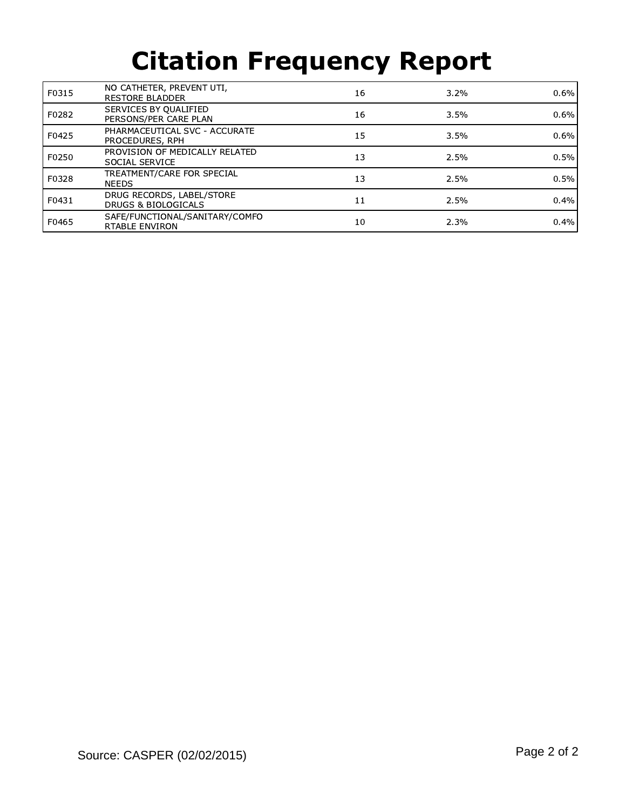| F0315 | NO CATHETER, PREVENT UTI,<br><b>RESTORE BLADDER</b> | 16 | $3.2\%$ | 0.6% |
|-------|-----------------------------------------------------|----|---------|------|
| F0282 | SERVICES BY QUALIFIED<br>PERSONS/PER CARE PLAN      | 16 | 3.5%    | 0.6% |
| F0425 | PHARMACEUTICAL SVC - ACCURATE<br>PROCEDURES, RPH    | 15 | 3.5%    | 0.6% |
| F0250 | PROVISION OF MEDICALLY RELATED<br>SOCIAL SERVICE    | 13 | 2.5%    | 0.5% |
| F0328 | TREATMENT/CARE FOR SPECIAL<br><b>NEEDS</b>          | 13 | 2.5%    | 0.5% |
| F0431 | DRUG RECORDS, LABEL/STORE<br>DRUGS & BIOLOGICALS    | 11 | 2.5%    | 0.4% |
| F0465 | SAFE/FUNCTIONAL/SANITARY/COMFO<br>RTABLE ENVIRON    | 10 | 2.3%    | 0.4% |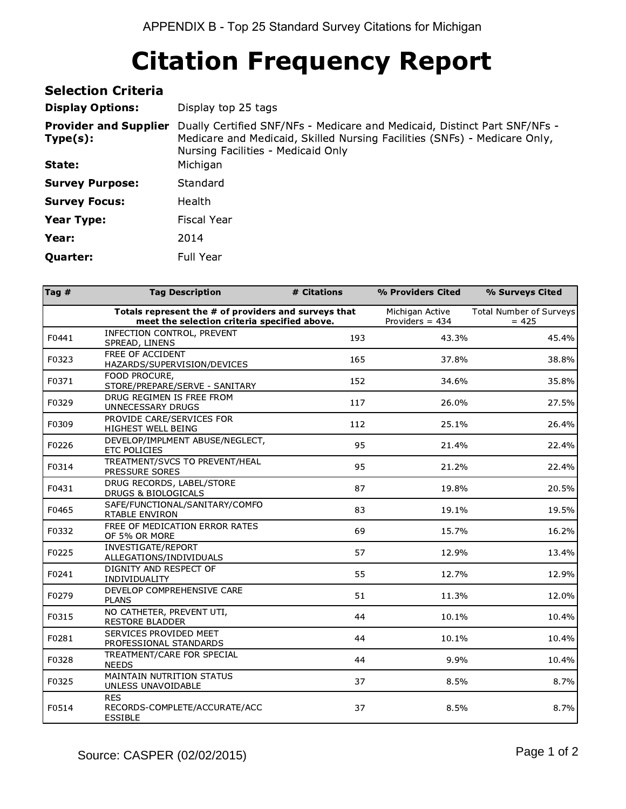| <b>Selection Criteria</b>                |                                                                                                                                                                                              |
|------------------------------------------|----------------------------------------------------------------------------------------------------------------------------------------------------------------------------------------------|
| <b>Display Options:</b>                  | Display top 25 tags                                                                                                                                                                          |
| <b>Provider and Supplier</b><br>Type(s): | Dually Certified SNF/NFs - Medicare and Medicaid, Distinct Part SNF/NFs -<br>Medicare and Medicaid, Skilled Nursing Facilities (SNFs) - Medicare Only,<br>Nursing Facilities - Medicaid Only |
| State:                                   | Michigan                                                                                                                                                                                     |
| <b>Survey Purpose:</b>                   | Standard                                                                                                                                                                                     |
| <b>Survey Focus:</b>                     | <b>Health</b>                                                                                                                                                                                |
| <b>Year Type:</b>                        | Fiscal Year                                                                                                                                                                                  |
| Year:                                    | 2014                                                                                                                                                                                         |
| <b>Quarter:</b>                          | Full Year                                                                                                                                                                                    |

| Tag $#$ | <b>Tag Description</b>                                                                               | # Citations | % Providers Cited                    | % Surveys Cited                    |
|---------|------------------------------------------------------------------------------------------------------|-------------|--------------------------------------|------------------------------------|
|         | Totals represent the # of providers and surveys that<br>meet the selection criteria specified above. |             | Michigan Active<br>Providers $= 434$ | Total Number of Surveys<br>$= 425$ |
| F0441   | INFECTION CONTROL, PREVENT<br>SPREAD, LINENS                                                         | 193         | 43.3%                                | 45.4%                              |
| F0323   | FREE OF ACCIDENT<br>HAZARDS/SUPERVISION/DEVICES                                                      | 165         | 37.8%                                | 38.8%                              |
| F0371   | FOOD PROCURE,<br>STORE/PREPARE/SERVE - SANITARY                                                      | 152         | 34.6%                                | 35.8%                              |
| F0329   | DRUG REGIMEN IS FREE FROM<br>UNNECESSARY DRUGS                                                       | 117         | 26.0%                                | 27.5%                              |
| F0309   | PROVIDE CARE/SERVICES FOR<br>HIGHEST WELL BEING                                                      | 112         | 25.1%                                | 26.4%                              |
| F0226   | DEVELOP/IMPLMENT ABUSE/NEGLECT,<br>ETC POLICIES                                                      | 95          | 21.4%                                | 22.4%                              |
| F0314   | TREATMENT/SVCS TO PREVENT/HEAL<br>PRESSURE SORES                                                     | 95          | 21.2%                                | 22.4%                              |
| F0431   | DRUG RECORDS, LABEL/STORE<br>DRUGS & BIOLOGICALS                                                     | 87          | 19.8%                                | 20.5%                              |
| F0465   | SAFE/FUNCTIONAL/SANITARY/COMFO<br>RTABLE ENVIRON                                                     | 83          | 19.1%                                | 19.5%                              |
| F0332   | FREE OF MEDICATION ERROR RATES<br>OF 5% OR MORE                                                      | 69          | 15.7%                                | 16.2%                              |
| F0225   | INVESTIGATE/REPORT<br>ALLEGATIONS/INDIVIDUALS                                                        | 57          | 12.9%                                | 13.4%                              |
| F0241   | DIGNITY AND RESPECT OF<br>INDIVIDUALITY                                                              | 55          | 12.7%                                | 12.9%                              |
| F0279   | DEVELOP COMPREHENSIVE CARE<br><b>PLANS</b>                                                           | 51          | 11.3%                                | 12.0%                              |
| F0315   | NO CATHETER, PREVENT UTI,<br><b>RESTORE BLADDER</b>                                                  | 44          | 10.1%                                | 10.4%                              |
| F0281   | SERVICES PROVIDED MEET<br>PROFESSIONAL STANDARDS                                                     | 44          | 10.1%                                | 10.4%                              |
| F0328   | TREATMENT/CARE FOR SPECIAL<br><b>NEEDS</b>                                                           | 44          | 9.9%                                 | 10.4%                              |
| F0325   | MAINTAIN NUTRITION STATUS<br>UNLESS UNAVOIDABLE                                                      | 37          | 8.5%                                 | 8.7%                               |
| F0514   | <b>RES</b><br>RECORDS-COMPLETE/ACCURATE/ACC<br><b>ESSIBLE</b>                                        | 37          | 8.5%                                 | 8.7%                               |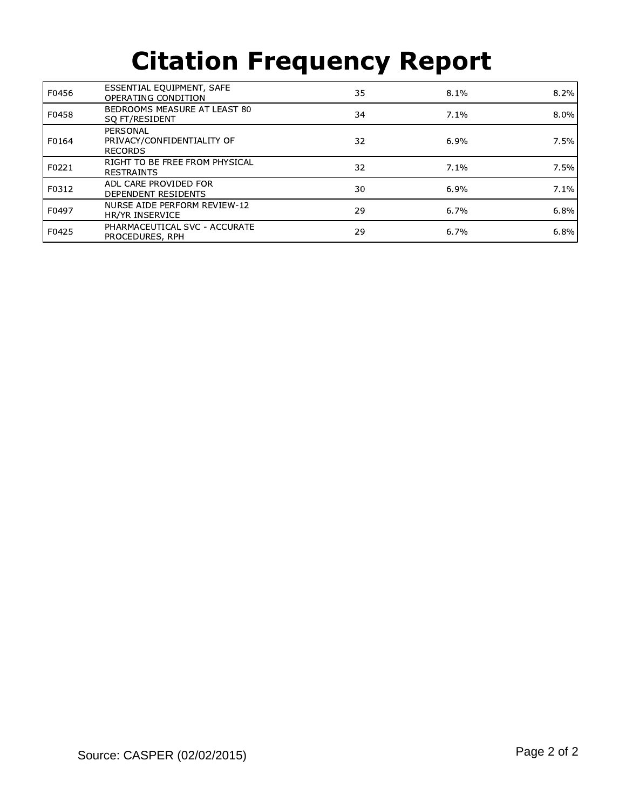| F0456 | ESSENTIAL EQUIPMENT, SAFE<br>OPERATING CONDITION         | 35 | 8.1%    | 8.2%    |
|-------|----------------------------------------------------------|----|---------|---------|
| F0458 | BEDROOMS MEASURE AT LEAST 80<br>SO FT/RESIDENT           | 34 | 7.1%    | $8.0\%$ |
| F0164 | PERSONAL<br>PRIVACY/CONFIDENTIALITY OF<br><b>RECORDS</b> | 32 | 6.9%    | 7.5%    |
| F0221 | RIGHT TO BE FREE FROM PHYSICAL<br><b>RESTRAINTS</b>      | 32 | $7.1\%$ | 7.5%    |
| F0312 | ADL CARE PROVIDED FOR<br>DEPENDENT RESIDENTS             | 30 | 6.9%    | 7.1%    |
| F0497 | NURSE AIDE PERFORM REVIEW-12<br>HR/YR INSERVICE          | 29 | 6.7%    | 6.8%    |
| F0425 | PHARMACEUTICAL SVC - ACCURATE<br>PROCEDURES, RPH         | 29 | 6.7%    | 6.8%    |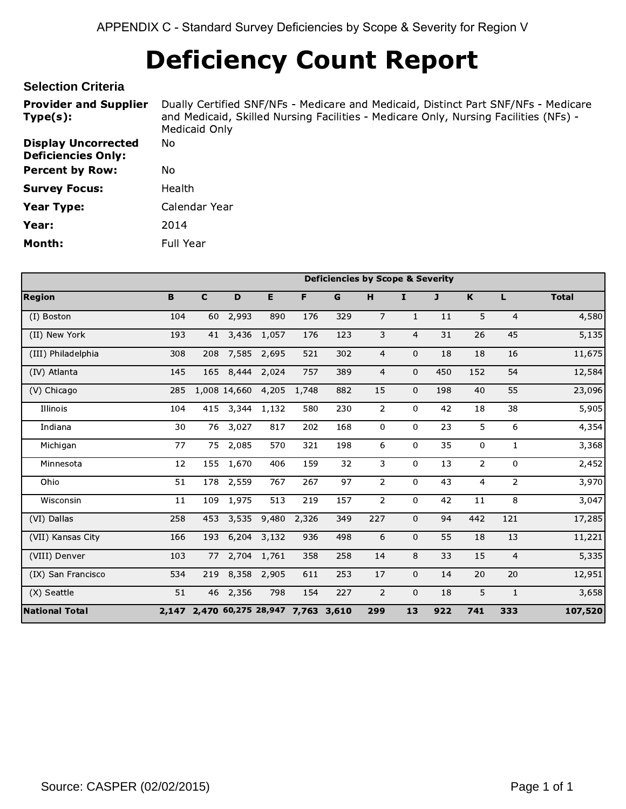# Deficiency Count Report

#### **Selection Criteria**

Provider and Supplier Type(s): Dually Certified SNF/NFs - Medicare and Medicaid, Distinct Part SNF/NFs - Medicare and Medicaid, Skilled Nursing Facilities - Medicare Only, Nursing Facilities (NFs) - Medicaid Only Display Uncorrected Deficiencies Only: No Percent by Row: No **Survey Focus:** Health Year Type: Calendar Year **Year:** 2014 Month: Full Year

|                       |     |             |                                       |       |       | <b>Deficiencies by Scope &amp; Severity</b> |                |                |     |                         |                |              |
|-----------------------|-----|-------------|---------------------------------------|-------|-------|---------------------------------------------|----------------|----------------|-----|-------------------------|----------------|--------------|
| <b>Region</b>         | B   | $\mathbf c$ | D                                     | Е     | F     | $\mathbf G$                                 | H              | I.             | J   | K                       | L              | <b>Total</b> |
| (I) Boston            | 104 | 60          | 2,993                                 | 890   | 176   | 329                                         | $\overline{7}$ | $\mathbf{1}$   | 11  | 5                       | $\overline{4}$ | 4,580        |
| (II) New York         | 193 | 41          | 3,436                                 | 1,057 | 176   | 123                                         | 3              | $\overline{4}$ | 31  | 26                      | 45             | 5,135        |
| (III) Philadelphia    | 308 | 208         | 7,585                                 | 2,695 | 521   | 302                                         | 4              | $\mathbf 0$    | 18  | 18                      | 16             | 11,675       |
| (IV) Atlanta          | 145 | 165         | 8,444                                 | 2,024 | 757   | 389                                         | 4              | 0              | 450 | 152                     | 54             | 12,584       |
| (V) Chicago           | 285 |             | 1,008 14,660                          | 4,205 | 1,748 | 882                                         | 15             | 0              | 198 | 40                      | 55             | 23,096       |
| Illinois              | 104 | 415         | 3,344                                 | 1,132 | 580   | 230                                         | $\overline{2}$ | 0              | 42  | 18                      | 38             | 5,905        |
| Indiana               | 30  | 76          | 3,027                                 | 817   | 202   | 168                                         | 0              | $\mathbf{0}$   | 23  | 5                       | 6              | 4,354        |
| Michigan              | 77  | 75          | 2,085                                 | 570   | 321   | 198                                         | 6              | $\mathbf 0$    | 35  | 0                       | $\mathbf{1}$   | 3,368        |
| Minnesota             | 12  | 155         | 1,670                                 | 406   | 159   | 32                                          | 3              | $\mathbf 0$    | 13  | $\overline{2}$          | $\Omega$       | 2,452        |
| Ohio                  | 51  | 178         | 2,559                                 | 767   | 267   | 97                                          | $\overline{2}$ | $\mathbf{0}$   | 43  | $\overline{\mathbf{4}}$ | $\overline{2}$ | 3,970        |
| Wisconsin             | 11  | 109         | 1,975                                 | 513   | 219   | 157                                         | $\overline{2}$ | $\mathbf 0$    | 42  | 11                      | 8              | 3,047        |
| (VI) Dallas           | 258 | 453         | 3,535                                 | 9,480 | 2,326 | 349                                         | 227            | $\mathbf 0$    | 94  | 442                     | 121            | 17,285       |
| (VII) Kansas City     | 166 | 193         | 6,204                                 | 3,132 | 936   | 498                                         | 6              | 0              | 55  | 18                      | 13             | 11,221       |
| (VIII) Denver         | 103 | 77          | 2,704                                 | 1,761 | 358   | 258                                         | 14             | 8              | 33  | 15                      | $\overline{4}$ | 5,335        |
| (IX) San Francisco    | 534 | 219         | 8,358                                 | 2,905 | 611   | 253                                         | 17             | $\mathbf 0$    | 14  | 20                      | 20             | 12,951       |
| (X) Seattle           | 51  |             | 46 2,356                              | 798   | 154   | 227                                         | $\overline{2}$ | $\mathbf 0$    | 18  | 5                       | $\mathbf{1}$   | 3,658        |
| <b>National Total</b> |     |             | 2,147 2,470 60,275 28,947 7,763 3,610 |       |       |                                             | 299            | 13             | 922 | 741                     | 333            | 107,520      |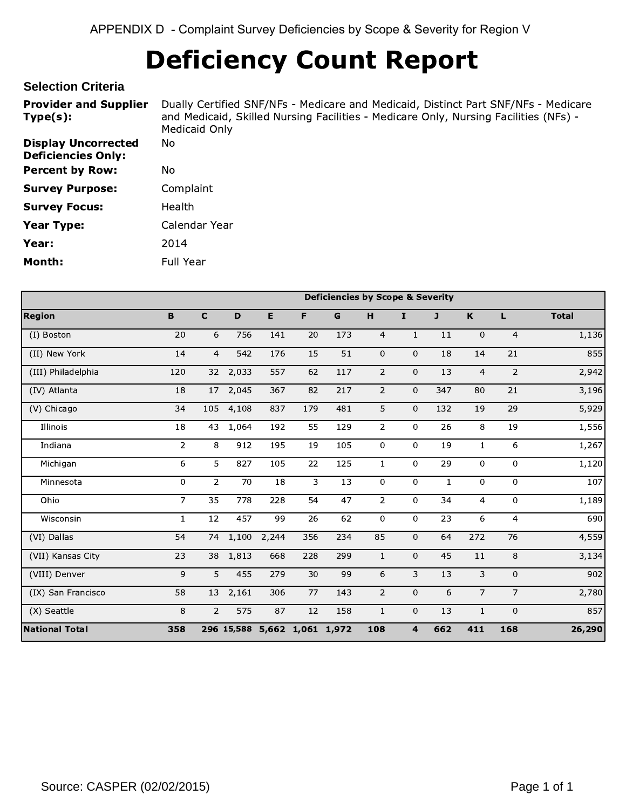# Deficiency Count Report

## **Selection Criteria**

| <b>Provider and Supplier</b><br>Type(s):                | Dually Certified SNF/NFs - Medicare and Medicaid, Distinct Part SNF/NFs - Medicare<br>and Medicaid, Skilled Nursing Facilities - Medicare Only, Nursing Facilities (NFs) -<br>Medicaid Only |
|---------------------------------------------------------|---------------------------------------------------------------------------------------------------------------------------------------------------------------------------------------------|
| <b>Display Uncorrected</b><br><b>Deficiencies Only:</b> | No.                                                                                                                                                                                         |
| <b>Percent by Row:</b>                                  | No.                                                                                                                                                                                         |
| <b>Survey Purpose:</b>                                  | Complaint                                                                                                                                                                                   |
| <b>Survey Focus:</b>                                    | Health                                                                                                                                                                                      |
| <b>Year Type:</b>                                       | Calendar Year                                                                                                                                                                               |
| Year:                                                   | 2014                                                                                                                                                                                        |
| Month:                                                  | Full Year                                                                                                                                                                                   |

|                       |                |                |       |       |                              | <b>Deficiencies by Scope &amp; Severity</b> |                |                         |     |                |                |              |
|-----------------------|----------------|----------------|-------|-------|------------------------------|---------------------------------------------|----------------|-------------------------|-----|----------------|----------------|--------------|
| <b>Region</b>         | $\mathbf B$    | $\mathbf C$    | D     | E.    | F                            | G                                           | H              | $\mathbf{I}$            | J   | $\,$ K         | L              | <b>Total</b> |
| (I) Boston            | 20             | 6              | 756   | 141   | 20                           | 173                                         | $\overline{4}$ | $\mathbf{1}$            | 11  | $\mathbf 0$    | $\overline{4}$ | 1,136        |
| (II) New York         | 14             | $\overline{4}$ | 542   | 176   | 15                           | 51                                          | $\mathbf 0$    | $\mathbf 0$             | 18  | 14             | 21             | 855          |
| (III) Philadelphia    | 120            | 32             | 2,033 | 557   | 62                           | 117                                         | $\overline{2}$ | $\mathbf 0$             | 13  | $\overline{4}$ | $\overline{2}$ | 2,942        |
| (IV) Atlanta          | 18             | 17             | 2,045 | 367   | 82                           | 217                                         | $\overline{2}$ | $\mathbf 0$             | 347 | 80             | 21             | 3,196        |
| (V) Chicago           | 34             | 105            | 4,108 | 837   | 179                          | 481                                         | 5              | $\mathbf 0$             | 132 | 19             | 29             | 5,929        |
| Illinois              | 18             | 43             | 1,064 | 192   | 55                           | 129                                         | $\overline{2}$ | $\overline{0}$          | 26  | 8              | 19             | 1,556        |
| Indiana               | $\overline{2}$ | 8              | 912   | 195   | 19                           | 105                                         | 0              | $\mathbf 0$             | 19  | $\mathbf{1}$   | 6              | 1,267        |
| Michigan              | 6              | 5              | 827   | 105   | 22                           | 125                                         | $\mathbf{1}$   | $\overline{0}$          | 29  | 0              | $\mathbf{0}$   | 1,120        |
| Minnesota             | 0              | $\overline{2}$ | 70    | 18    | 3                            | 13                                          | 0              | $\mathbf 0$             | 1   | 0              | $\mathbf 0$    | 107          |
| Ohio                  | 7 <sup>1</sup> | 35             | 778   | 228   | 54                           | 47                                          | $\overline{2}$ | $\overline{0}$          | 34  | 4              | $\overline{0}$ | 1,189        |
| Wisconsin             | $\mathbf{1}$   | 12             | 457   | 99    | 26                           | 62                                          | $\mathbf 0$    | $\overline{0}$          | 23  | 6              | $\overline{4}$ | 690          |
| (VI) Dallas           | 54             | 74             | 1,100 | 2,244 | 356                          | 234                                         | 85             | $\mathbf 0$             | 64  | 272            | 76             | 4,559        |
| (VII) Kansas City     | 23             | 38             | 1,813 | 668   | 228                          | 299                                         | $\mathbf{1}$   | $\mathbf 0$             | 45  | 11             | 8              | 3,134        |
| (VIII) Denver         | 9              | 5              | 455   | 279   | 30                           | 99                                          | 6              | 3                       | 13  | 3              | $\mathbf 0$    | 902          |
| (IX) San Francisco    | 58             | 13             | 2,161 | 306   | 77                           | 143                                         | $\overline{2}$ | $\mathbf 0$             | 6   | $\overline{7}$ | $\overline{7}$ | 2,780        |
| (X) Seattle           | 8              | $\overline{2}$ | 575   | 87    | 12                           | 158                                         | $\mathbf{1}$   | $\mathbf 0$             | 13  | $\mathbf{1}$   | $\mathbf 0$    | 857          |
| <b>National Total</b> | 358            |                |       |       | 296 15,588 5,662 1,061 1,972 |                                             | 108            | $\overline{\mathbf{4}}$ | 662 | 411            | 168            | 26,290       |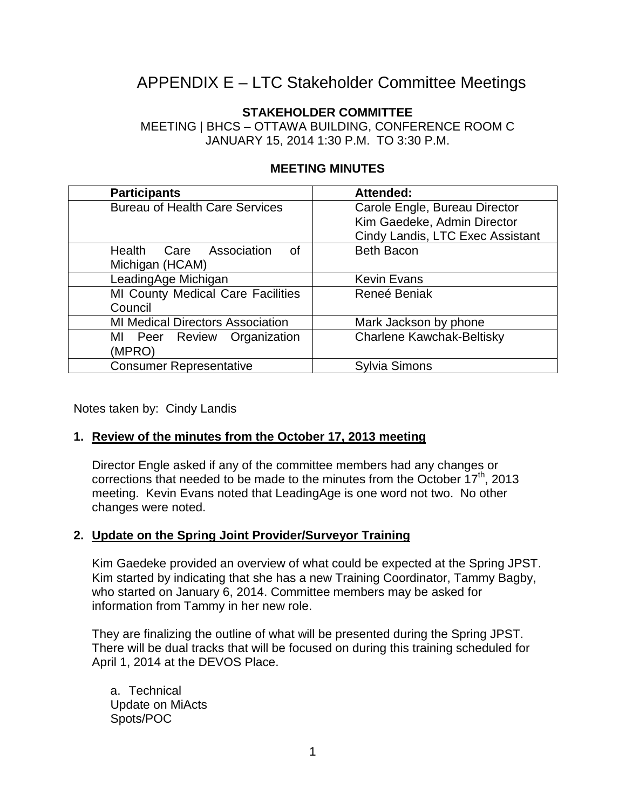# APPENDIX E – LTC Stakeholder Committee Meetings

# **STAKEHOLDER COMMITTEE**

MEETING | BHCS – OTTAWA BUILDING, CONFERENCE ROOM C JANUARY 15, 2014 1:30 P.M. TO 3:30 P.M.

| <b>Participants</b>                     | Attended:                        |  |  |  |  |
|-----------------------------------------|----------------------------------|--|--|--|--|
| <b>Bureau of Health Care Services</b>   | Carole Engle, Bureau Director    |  |  |  |  |
|                                         | Kim Gaedeke, Admin Director      |  |  |  |  |
|                                         | Cindy Landis, LTC Exec Assistant |  |  |  |  |
| Care Association<br>Health<br>of        | <b>Beth Bacon</b>                |  |  |  |  |
| Michigan (HCAM)                         |                                  |  |  |  |  |
| LeadingAge Michigan                     | <b>Kevin Evans</b>               |  |  |  |  |
| MI County Medical Care Facilities       | Reneé Beniak                     |  |  |  |  |
| Council                                 |                                  |  |  |  |  |
| <b>MI Medical Directors Association</b> | Mark Jackson by phone            |  |  |  |  |
| Review Organization<br>ΜI<br>Peer       | <b>Charlene Kawchak-Beltisky</b> |  |  |  |  |
| (MPRO)                                  |                                  |  |  |  |  |
| <b>Consumer Representative</b>          | Sylvia Simons                    |  |  |  |  |

# **MEETING MINUTES**

Notes taken by: Cindy Landis

### **1. Review of the minutes from the October 17, 2013 meeting**

Director Engle asked if any of the committee members had any changes or corrections that needed to be made to the minutes from the October  $17<sup>th</sup>$ , 2013 meeting. Kevin Evans noted that LeadingAge is one word not two. No other changes were noted.

### **2. Update on the Spring Joint Provider/Surveyor Training**

Kim Gaedeke provided an overview of what could be expected at the Spring JPST. Kim started by indicating that she has a new Training Coordinator, Tammy Bagby, who started on January 6, 2014. Committee members may be asked for information from Tammy in her new role.

They are finalizing the outline of what will be presented during the Spring JPST. There will be dual tracks that will be focused on during this training scheduled for April 1, 2014 at the DEVOS Place.

a. Technical Update on MiActs Spots/POC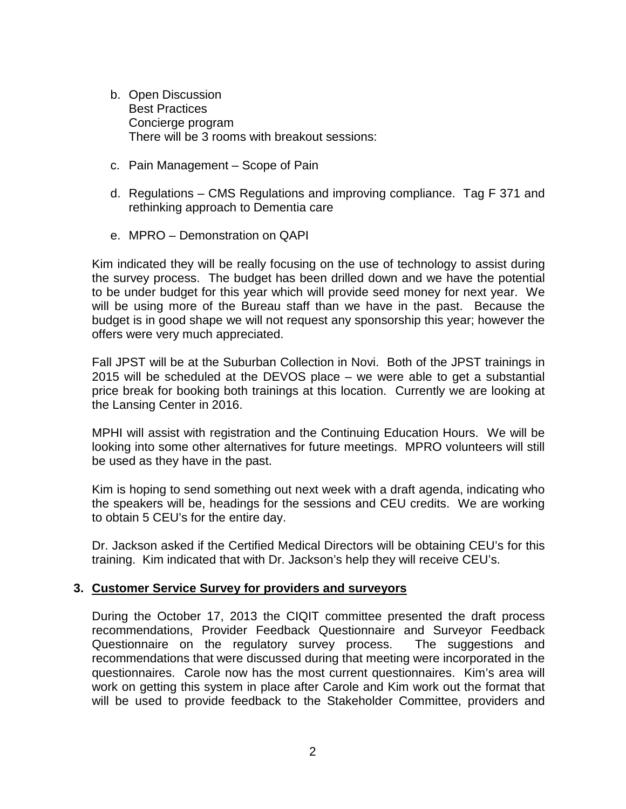- b. Open Discussion Best Practices Concierge program There will be 3 rooms with breakout sessions:
- c. Pain Management Scope of Pain
- d. Regulations CMS Regulations and improving compliance. Tag F 371 and rethinking approach to Dementia care
- e. MPRO Demonstration on QAPI

Kim indicated they will be really focusing on the use of technology to assist during the survey process. The budget has been drilled down and we have the potential to be under budget for this year which will provide seed money for next year. We will be using more of the Bureau staff than we have in the past. Because the budget is in good shape we will not request any sponsorship this year; however the offers were very much appreciated.

Fall JPST will be at the Suburban Collection in Novi. Both of the JPST trainings in 2015 will be scheduled at the DEVOS place – we were able to get a substantial price break for booking both trainings at this location. Currently we are looking at the Lansing Center in 2016.

MPHI will assist with registration and the Continuing Education Hours. We will be looking into some other alternatives for future meetings. MPRO volunteers will still be used as they have in the past.

Kim is hoping to send something out next week with a draft agenda, indicating who the speakers will be, headings for the sessions and CEU credits. We are working to obtain 5 CEU's for the entire day.

Dr. Jackson asked if the Certified Medical Directors will be obtaining CEU's for this training. Kim indicated that with Dr. Jackson's help they will receive CEU's.

#### **3. Customer Service Survey for providers and surveyors**

During the October 17, 2013 the CIQIT committee presented the draft process recommendations, Provider Feedback Questionnaire and Surveyor Feedback Questionnaire on the regulatory survey process. The suggestions and recommendations that were discussed during that meeting were incorporated in the questionnaires. Carole now has the most current questionnaires. Kim's area will work on getting this system in place after Carole and Kim work out the format that will be used to provide feedback to the Stakeholder Committee, providers and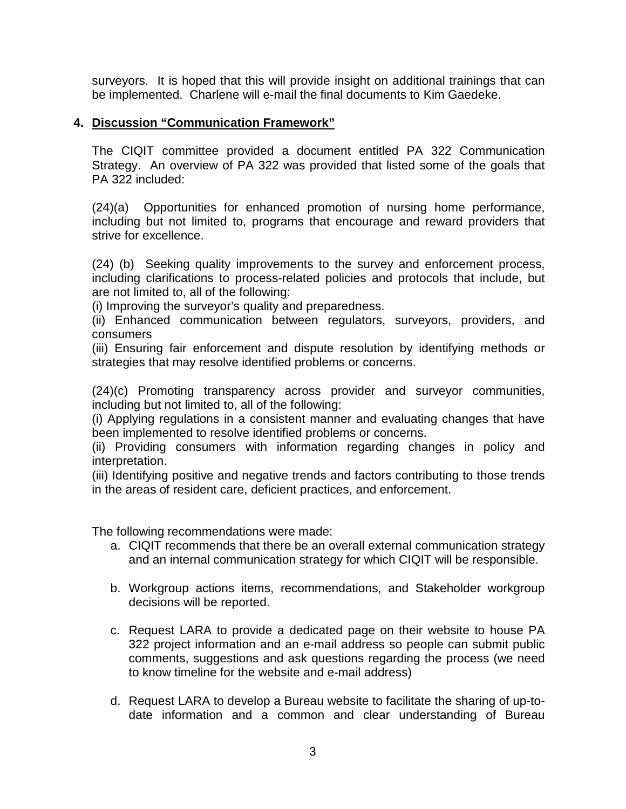surveyors. It is hoped that this will provide insight on additional trainings that can be implemented. Charlene will e-mail the final documents to Kim Gaedeke.

#### **4. Discussion "Communication Framework"**

The CIQIT committee provided a document entitled PA 322 Communication Strategy. An overview of PA 322 was provided that listed some of the goals that PA 322 included:

(24)(a) Opportunities for enhanced promotion of nursing home performance, including but not limited to, programs that encourage and reward providers that strive for excellence.

(24) (b) Seeking quality improvements to the survey and enforcement process, including clarifications to process-related policies and protocols that include, but are not limited to, all of the following:

(i) Improving the surveyor's quality and preparedness.

(ii) Enhanced communication between regulators, surveyors, providers, and consumers

(iii) Ensuring fair enforcement and dispute resolution by identifying methods or strategies that may resolve identified problems or concerns.

(24)(c) Promoting transparency across provider and surveyor communities, including but not limited to, all of the following:

(i) Applying regulations in a consistent manner and evaluating changes that have been implemented to resolve identified problems or concerns.

(ii) Providing consumers with information regarding changes in policy and interpretation.

(iii) Identifying positive and negative trends and factors contributing to those trends in the areas of resident care, deficient practices, and enforcement.

The following recommendations were made:

- a. CIQIT recommends that there be an overall external communication strategy and an internal communication strategy for which CIQIT will be responsible.
- b. Workgroup actions items, recommendations, and Stakeholder workgroup decisions will be reported.
- c. Request LARA to provide a dedicated page on their website to house PA 322 project information and an e-mail address so people can submit public comments, suggestions and ask questions regarding the process (we need to know timeline for the website and e-mail address)
- d. Request LARA to develop a Bureau website to facilitate the sharing of up-todate information and a common and clear understanding of Bureau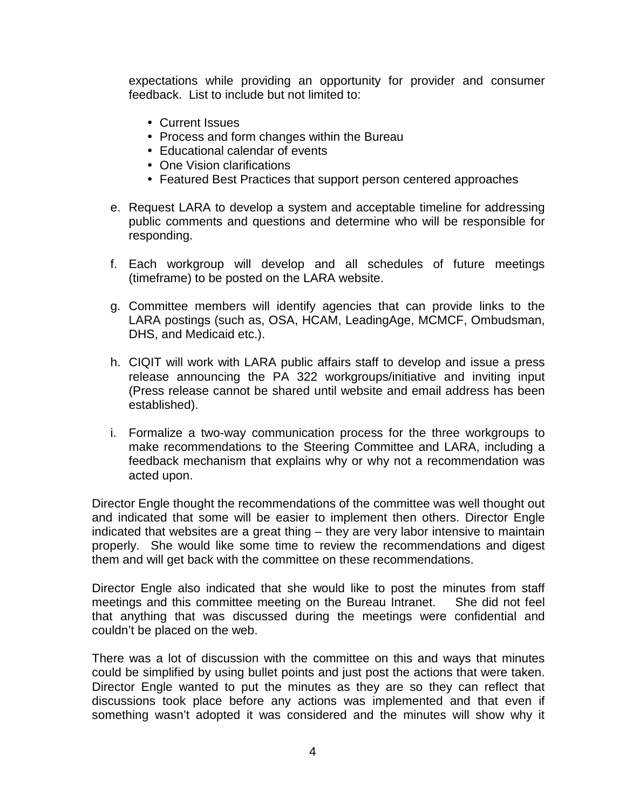expectations while providing an opportunity for provider and consumer feedback. List to include but not limited to:

- Current Issues
- Process and form changes within the Bureau
- Educational calendar of events
- One Vision clarifications
- Featured Best Practices that support person centered approaches
- e. Request LARA to develop a system and acceptable timeline for addressing public comments and questions and determine who will be responsible for responding.
- f. Each workgroup will develop and all schedules of future meetings (timeframe) to be posted on the LARA website.
- g. Committee members will identify agencies that can provide links to the LARA postings (such as, OSA, HCAM, LeadingAge, MCMCF, Ombudsman, DHS, and Medicaid etc.).
- h. CIQIT will work with LARA public affairs staff to develop and issue a press release announcing the PA 322 workgroups/initiative and inviting input (Press release cannot be shared until website and email address has been established).
- i. Formalize a two-way communication process for the three workgroups to make recommendations to the Steering Committee and LARA, including a feedback mechanism that explains why or why not a recommendation was acted upon.

Director Engle thought the recommendations of the committee was well thought out and indicated that some will be easier to implement then others. Director Engle indicated that websites are a great thing – they are very labor intensive to maintain properly. She would like some time to review the recommendations and digest them and will get back with the committee on these recommendations.

Director Engle also indicated that she would like to post the minutes from staff meetings and this committee meeting on the Bureau Intranet. She did not feel that anything that was discussed during the meetings were confidential and couldn't be placed on the web.

There was a lot of discussion with the committee on this and ways that minutes could be simplified by using bullet points and just post the actions that were taken. Director Engle wanted to put the minutes as they are so they can reflect that discussions took place before any actions was implemented and that even if something wasn't adopted it was considered and the minutes will show why it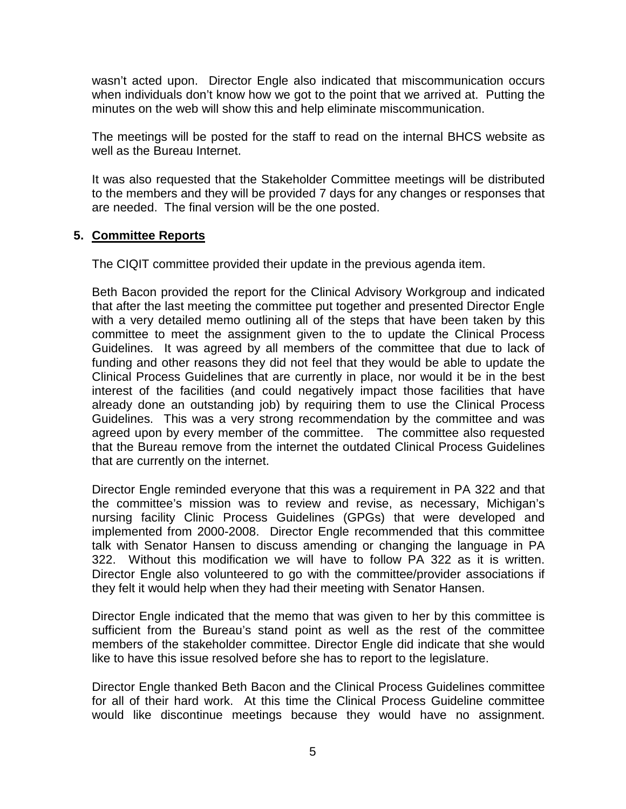wasn't acted upon. Director Engle also indicated that miscommunication occurs when individuals don't know how we got to the point that we arrived at. Putting the minutes on the web will show this and help eliminate miscommunication.

The meetings will be posted for the staff to read on the internal BHCS website as well as the Bureau Internet.

It was also requested that the Stakeholder Committee meetings will be distributed to the members and they will be provided 7 days for any changes or responses that are needed. The final version will be the one posted.

#### **5. Committee Reports**

The CIQIT committee provided their update in the previous agenda item.

Beth Bacon provided the report for the Clinical Advisory Workgroup and indicated that after the last meeting the committee put together and presented Director Engle with a very detailed memo outlining all of the steps that have been taken by this committee to meet the assignment given to the to update the Clinical Process Guidelines. It was agreed by all members of the committee that due to lack of funding and other reasons they did not feel that they would be able to update the Clinical Process Guidelines that are currently in place, nor would it be in the best interest of the facilities (and could negatively impact those facilities that have already done an outstanding job) by requiring them to use the Clinical Process Guidelines. This was a very strong recommendation by the committee and was agreed upon by every member of the committee. The committee also requested that the Bureau remove from the internet the outdated Clinical Process Guidelines that are currently on the internet.

Director Engle reminded everyone that this was a requirement in PA 322 and that the committee's mission was to review and revise, as necessary, Michigan's nursing facility Clinic Process Guidelines (GPGs) that were developed and implemented from 2000-2008. Director Engle recommended that this committee talk with Senator Hansen to discuss amending or changing the language in PA 322. Without this modification we will have to follow PA 322 as it is written. Director Engle also volunteered to go with the committee/provider associations if they felt it would help when they had their meeting with Senator Hansen.

Director Engle indicated that the memo that was given to her by this committee is sufficient from the Bureau's stand point as well as the rest of the committee members of the stakeholder committee. Director Engle did indicate that she would like to have this issue resolved before she has to report to the legislature.

Director Engle thanked Beth Bacon and the Clinical Process Guidelines committee for all of their hard work. At this time the Clinical Process Guideline committee would like discontinue meetings because they would have no assignment.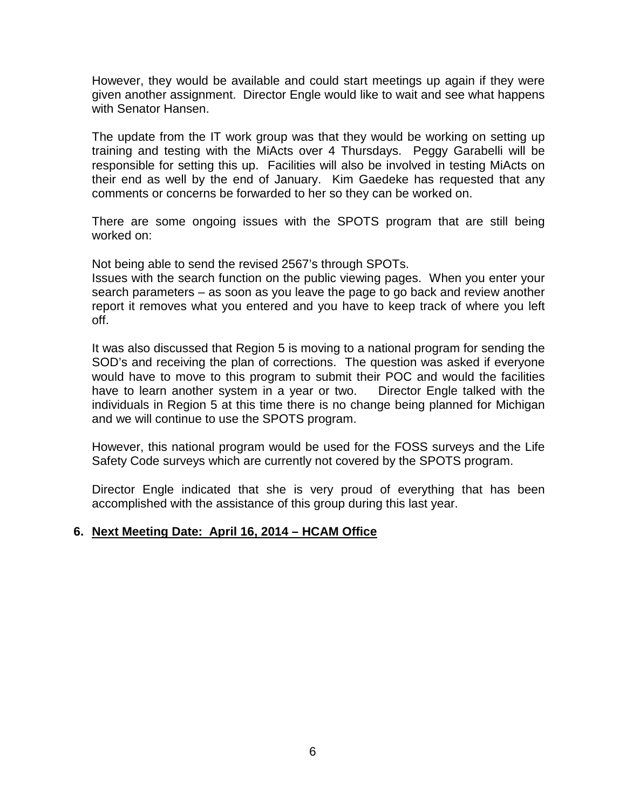However, they would be available and could start meetings up again if they were given another assignment. Director Engle would like to wait and see what happens with Senator Hansen.

The update from the IT work group was that they would be working on setting up training and testing with the MiActs over 4 Thursdays. Peggy Garabelli will be responsible for setting this up. Facilities will also be involved in testing MiActs on their end as well by the end of January. Kim Gaedeke has requested that any comments or concerns be forwarded to her so they can be worked on.

There are some ongoing issues with the SPOTS program that are still being worked on:

Not being able to send the revised 2567's through SPOTs.

Issues with the search function on the public viewing pages. When you enter your search parameters – as soon as you leave the page to go back and review another report it removes what you entered and you have to keep track of where you left off.

It was also discussed that Region 5 is moving to a national program for sending the SOD's and receiving the plan of corrections. The question was asked if everyone would have to move to this program to submit their POC and would the facilities have to learn another system in a year or two. Director Engle talked with the individuals in Region 5 at this time there is no change being planned for Michigan and we will continue to use the SPOTS program.

However, this national program would be used for the FOSS surveys and the Life Safety Code surveys which are currently not covered by the SPOTS program.

Director Engle indicated that she is very proud of everything that has been accomplished with the assistance of this group during this last year.

#### **6. Next Meeting Date: April 16, 2014 – HCAM Office**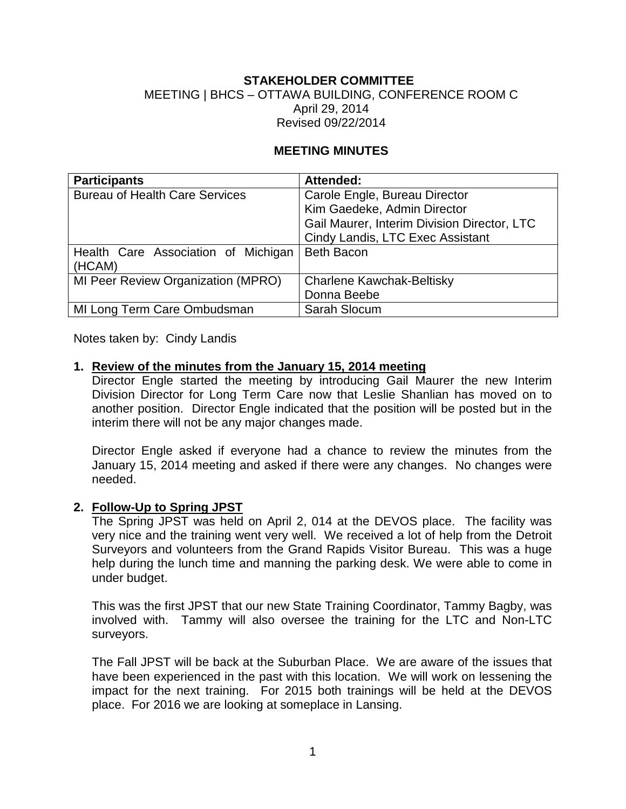## **STAKEHOLDER COMMITTEE**

#### MEETING | BHCS – OTTAWA BUILDING, CONFERENCE ROOM C April 29, 2014 Revised 09/22/2014

#### **MEETING MINUTES**

| <b>Participants</b>                   | Attended:                                   |
|---------------------------------------|---------------------------------------------|
| <b>Bureau of Health Care Services</b> | Carole Engle, Bureau Director               |
|                                       | Kim Gaedeke, Admin Director                 |
|                                       | Gail Maurer, Interim Division Director, LTC |
|                                       | Cindy Landis, LTC Exec Assistant            |
| Health Care Association of Michigan   | <b>Beth Bacon</b>                           |
| (HCAM)                                |                                             |
| MI Peer Review Organization (MPRO)    | <b>Charlene Kawchak-Beltisky</b>            |
|                                       | Donna Beebe                                 |
| MI Long Term Care Ombudsman           | Sarah Slocum                                |

Notes taken by: Cindy Landis

#### **1. Review of the minutes from the January 15, 2014 meeting**

Director Engle started the meeting by introducing Gail Maurer the new Interim Division Director for Long Term Care now that Leslie Shanlian has moved on to another position. Director Engle indicated that the position will be posted but in the interim there will not be any major changes made.

Director Engle asked if everyone had a chance to review the minutes from the January 15, 2014 meeting and asked if there were any changes. No changes were needed.

#### **2. Follow-Up to Spring JPST**

The Spring JPST was held on April 2, 014 at the DEVOS place. The facility was very nice and the training went very well. We received a lot of help from the Detroit Surveyors and volunteers from the Grand Rapids Visitor Bureau. This was a huge help during the lunch time and manning the parking desk. We were able to come in under budget.

This was the first JPST that our new State Training Coordinator, Tammy Bagby, was involved with. Tammy will also oversee the training for the LTC and Non-LTC surveyors.

The Fall JPST will be back at the Suburban Place. We are aware of the issues that have been experienced in the past with this location. We will work on lessening the impact for the next training. For 2015 both trainings will be held at the DEVOS place. For 2016 we are looking at someplace in Lansing.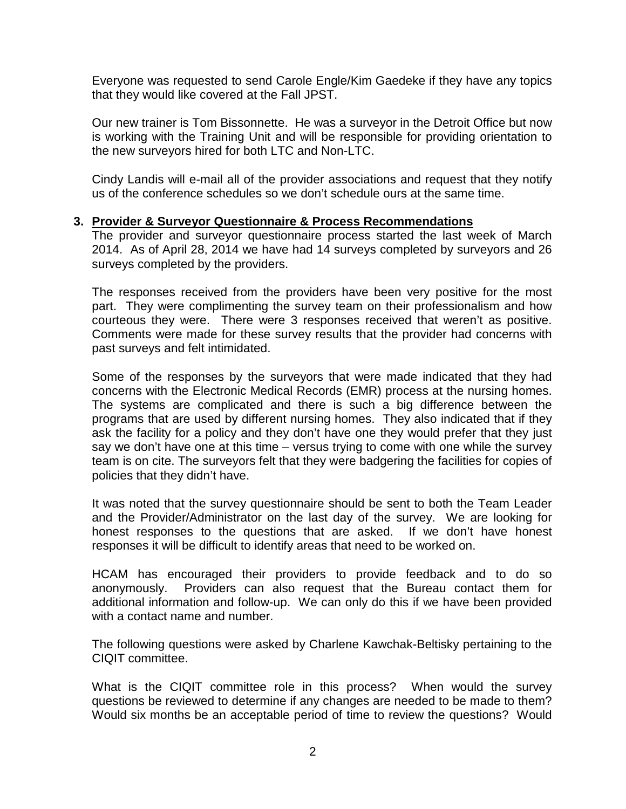Everyone was requested to send Carole Engle/Kim Gaedeke if they have any topics that they would like covered at the Fall JPST.

Our new trainer is Tom Bissonnette. He was a surveyor in the Detroit Office but now is working with the Training Unit and will be responsible for providing orientation to the new surveyors hired for both LTC and Non-LTC.

Cindy Landis will e-mail all of the provider associations and request that they notify us of the conference schedules so we don't schedule ours at the same time.

#### **3. Provider & Surveyor Questionnaire & Process Recommendations**

The provider and surveyor questionnaire process started the last week of March 2014. As of April 28, 2014 we have had 14 surveys completed by surveyors and 26 surveys completed by the providers.

The responses received from the providers have been very positive for the most part. They were complimenting the survey team on their professionalism and how courteous they were. There were 3 responses received that weren't as positive. Comments were made for these survey results that the provider had concerns with past surveys and felt intimidated.

Some of the responses by the surveyors that were made indicated that they had concerns with the Electronic Medical Records (EMR) process at the nursing homes. The systems are complicated and there is such a big difference between the programs that are used by different nursing homes. They also indicated that if they ask the facility for a policy and they don't have one they would prefer that they just say we don't have one at this time – versus trying to come with one while the survey team is on cite. The surveyors felt that they were badgering the facilities for copies of policies that they didn't have.

It was noted that the survey questionnaire should be sent to both the Team Leader and the Provider/Administrator on the last day of the survey. We are looking for honest responses to the questions that are asked. If we don't have honest responses it will be difficult to identify areas that need to be worked on.

HCAM has encouraged their providers to provide feedback and to do so anonymously. Providers can also request that the Bureau contact them for additional information and follow-up. We can only do this if we have been provided with a contact name and number.

The following questions were asked by Charlene Kawchak-Beltisky pertaining to the CIQIT committee.

What is the CIQIT committee role in this process? When would the survey questions be reviewed to determine if any changes are needed to be made to them? Would six months be an acceptable period of time to review the questions? Would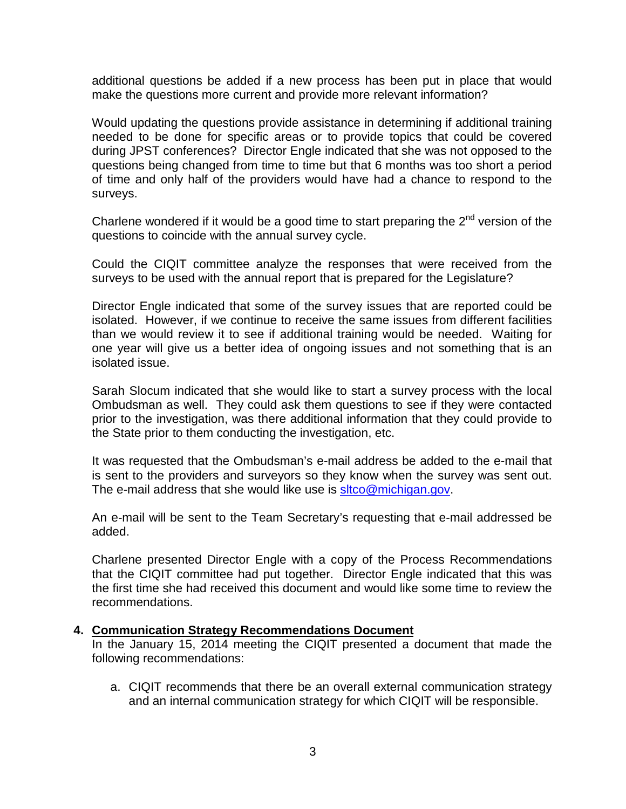additional questions be added if a new process has been put in place that would make the questions more current and provide more relevant information?

Would updating the questions provide assistance in determining if additional training needed to be done for specific areas or to provide topics that could be covered during JPST conferences? Director Engle indicated that she was not opposed to the questions being changed from time to time but that 6 months was too short a period of time and only half of the providers would have had a chance to respond to the surveys.

Charlene wondered if it would be a good time to start preparing the  $2^{nd}$  version of the questions to coincide with the annual survey cycle.

Could the CIQIT committee analyze the responses that were received from the surveys to be used with the annual report that is prepared for the Legislature?

Director Engle indicated that some of the survey issues that are reported could be isolated. However, if we continue to receive the same issues from different facilities than we would review it to see if additional training would be needed. Waiting for one year will give us a better idea of ongoing issues and not something that is an isolated issue.

Sarah Slocum indicated that she would like to start a survey process with the local Ombudsman as well. They could ask them questions to see if they were contacted prior to the investigation, was there additional information that they could provide to the State prior to them conducting the investigation, etc.

It was requested that the Ombudsman's e-mail address be added to the e-mail that is sent to the providers and surveyors so they know when the survey was sent out. The e-mail address that she would like use is sitco@michigan.gov.

An e-mail will be sent to the Team Secretary's requesting that e-mail addressed be added.

Charlene presented Director Engle with a copy of the Process Recommendations that the CIQIT committee had put together. Director Engle indicated that this was the first time she had received this document and would like some time to review the recommendations.

#### **4. Communication Strategy Recommendations Document**

In the January 15, 2014 meeting the CIQIT presented a document that made the following recommendations:

a. CIQIT recommends that there be an overall external communication strategy and an internal communication strategy for which CIQIT will be responsible.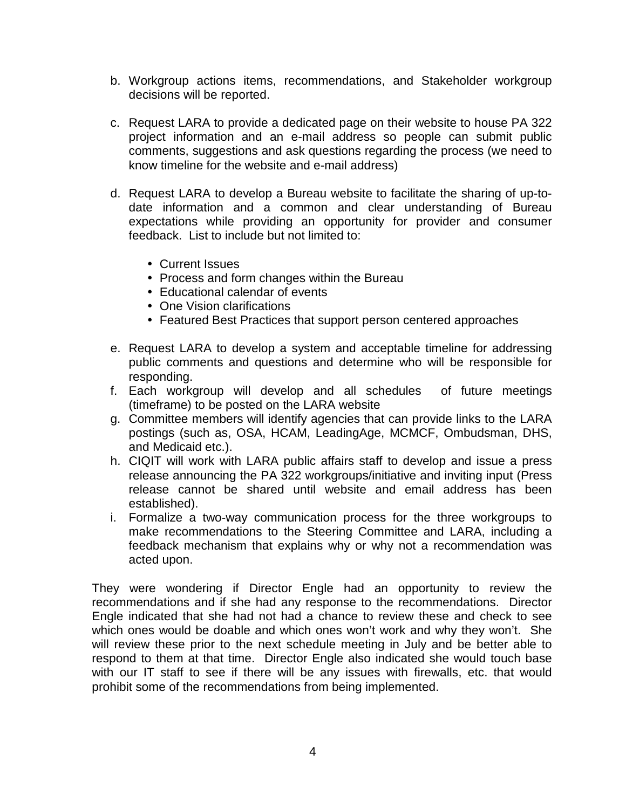- b. Workgroup actions items, recommendations, and Stakeholder workgroup decisions will be reported.
- c. Request LARA to provide a dedicated page on their website to house PA 322 project information and an e-mail address so people can submit public comments, suggestions and ask questions regarding the process (we need to know timeline for the website and e-mail address)
- d. Request LARA to develop a Bureau website to facilitate the sharing of up-todate information and a common and clear understanding of Bureau expectations while providing an opportunity for provider and consumer feedback. List to include but not limited to:
	- Current Issues
	- Process and form changes within the Bureau
	- Educational calendar of events
	- One Vision clarifications
	- Featured Best Practices that support person centered approaches
- e. Request LARA to develop a system and acceptable timeline for addressing public comments and questions and determine who will be responsible for responding.
- f. Each workgroup will develop and all schedules of future meetings (timeframe) to be posted on the LARA website
- g. Committee members will identify agencies that can provide links to the LARA postings (such as, OSA, HCAM, LeadingAge, MCMCF, Ombudsman, DHS, and Medicaid etc.).
- h. CIQIT will work with LARA public affairs staff to develop and issue a press release announcing the PA 322 workgroups/initiative and inviting input (Press release cannot be shared until website and email address has been established).
- i. Formalize a two-way communication process for the three workgroups to make recommendations to the Steering Committee and LARA, including a feedback mechanism that explains why or why not a recommendation was acted upon.

They were wondering if Director Engle had an opportunity to review the recommendations and if she had any response to the recommendations. Director Engle indicated that she had not had a chance to review these and check to see which ones would be doable and which ones won't work and why they won't. She will review these prior to the next schedule meeting in July and be better able to respond to them at that time. Director Engle also indicated she would touch base with our IT staff to see if there will be any issues with firewalls, etc. that would prohibit some of the recommendations from being implemented.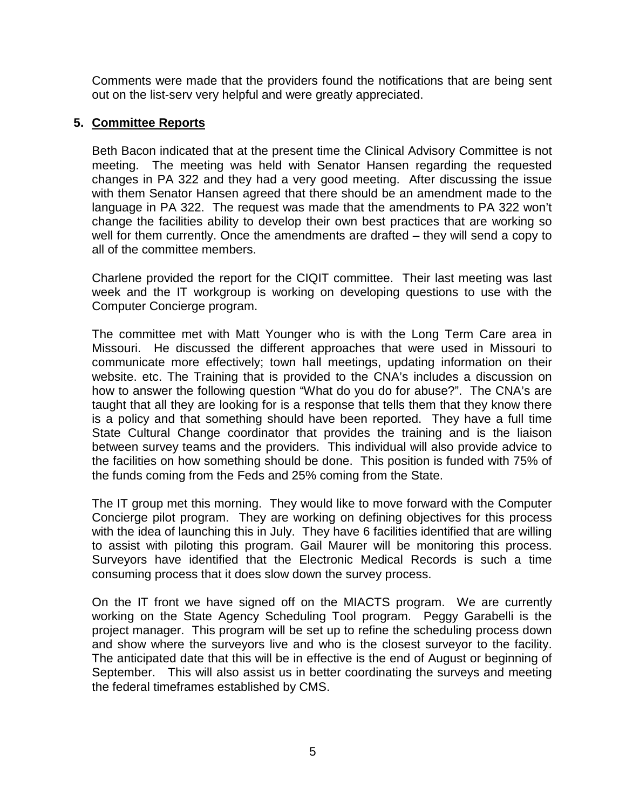Comments were made that the providers found the notifications that are being sent out on the list-serv very helpful and were greatly appreciated.

#### **5. Committee Reports**

Beth Bacon indicated that at the present time the Clinical Advisory Committee is not meeting. The meeting was held with Senator Hansen regarding the requested changes in PA 322 and they had a very good meeting. After discussing the issue with them Senator Hansen agreed that there should be an amendment made to the language in PA 322. The request was made that the amendments to PA 322 won't change the facilities ability to develop their own best practices that are working so well for them currently. Once the amendments are drafted – they will send a copy to all of the committee members.

Charlene provided the report for the CIQIT committee. Their last meeting was last week and the IT workgroup is working on developing questions to use with the Computer Concierge program.

The committee met with Matt Younger who is with the Long Term Care area in Missouri. He discussed the different approaches that were used in Missouri to communicate more effectively; town hall meetings, updating information on their website. etc. The Training that is provided to the CNA's includes a discussion on how to answer the following question "What do you do for abuse?". The CNA's are taught that all they are looking for is a response that tells them that they know there is a policy and that something should have been reported. They have a full time State Cultural Change coordinator that provides the training and is the liaison between survey teams and the providers. This individual will also provide advice to the facilities on how something should be done. This position is funded with 75% of the funds coming from the Feds and 25% coming from the State.

The IT group met this morning. They would like to move forward with the Computer Concierge pilot program. They are working on defining objectives for this process with the idea of launching this in July. They have 6 facilities identified that are willing to assist with piloting this program. Gail Maurer will be monitoring this process. Surveyors have identified that the Electronic Medical Records is such a time consuming process that it does slow down the survey process.

On the IT front we have signed off on the MIACTS program. We are currently working on the State Agency Scheduling Tool program. Peggy Garabelli is the project manager. This program will be set up to refine the scheduling process down and show where the surveyors live and who is the closest surveyor to the facility. The anticipated date that this will be in effective is the end of August or beginning of September. This will also assist us in better coordinating the surveys and meeting the federal timeframes established by CMS.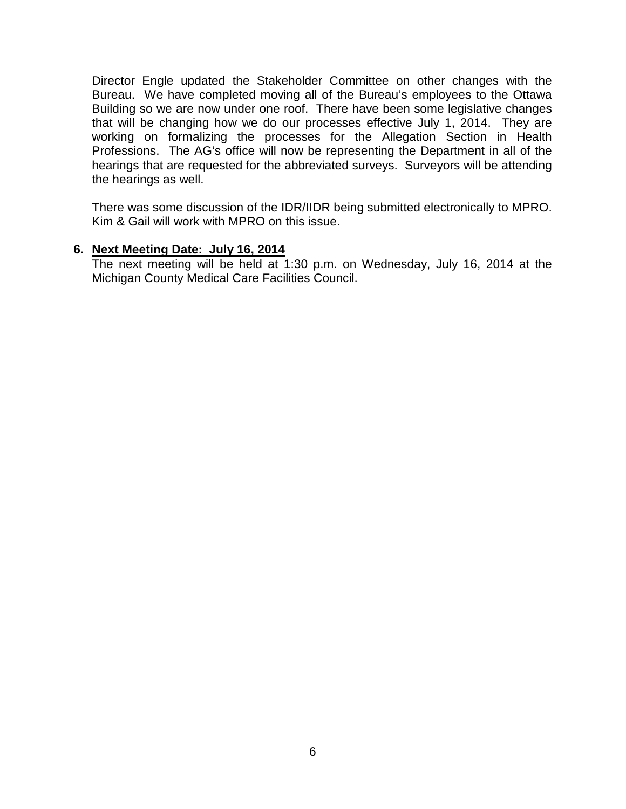Director Engle updated the Stakeholder Committee on other changes with the Bureau. We have completed moving all of the Bureau's employees to the Ottawa Building so we are now under one roof. There have been some legislative changes that will be changing how we do our processes effective July 1, 2014. They are working on formalizing the processes for the Allegation Section in Health Professions. The AG's office will now be representing the Department in all of the hearings that are requested for the abbreviated surveys. Surveyors will be attending the hearings as well.

There was some discussion of the IDR/IIDR being submitted electronically to MPRO. Kim & Gail will work with MPRO on this issue.

#### **6. Next Meeting Date: July 16, 2014**

The next meeting will be held at 1:30 p.m. on Wednesday, July 16, 2014 at the Michigan County Medical Care Facilities Council.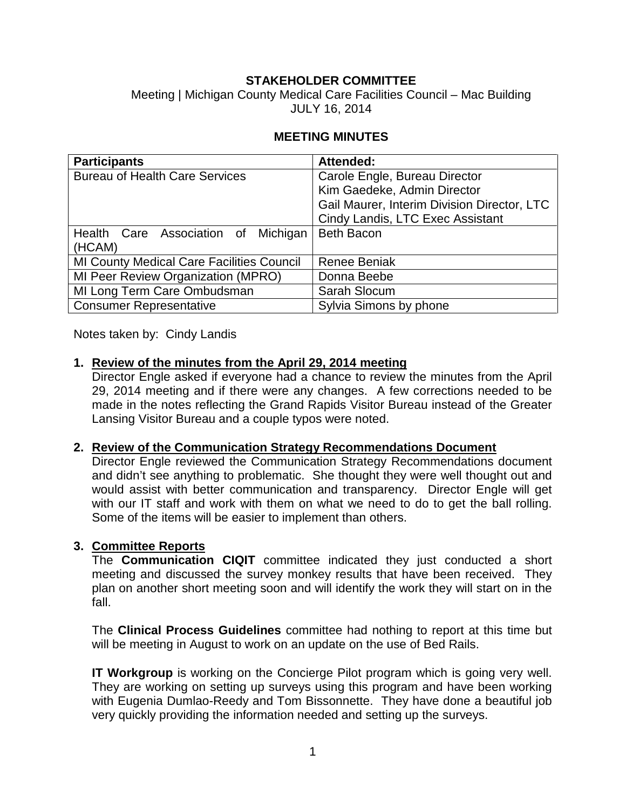### **STAKEHOLDER COMMITTEE**

Meeting | Michigan County Medical Care Facilities Council – Mac Building JULY 16, 2014

#### **MEETING MINUTES**

| <b>Participants</b>                              | Attended:                                   |
|--------------------------------------------------|---------------------------------------------|
| <b>Bureau of Health Care Services</b>            | Carole Engle, Bureau Director               |
|                                                  | Kim Gaedeke, Admin Director                 |
|                                                  | Gail Maurer, Interim Division Director, LTC |
|                                                  | Cindy Landis, LTC Exec Assistant            |
| Health Care Association of Michigan              | <b>Beth Bacon</b>                           |
| (HCAM)                                           |                                             |
| <b>MI County Medical Care Facilities Council</b> | <b>Renee Beniak</b>                         |
| MI Peer Review Organization (MPRO)               | Donna Beebe                                 |
| MI Long Term Care Ombudsman                      | Sarah Slocum                                |
| <b>Consumer Representative</b>                   | Sylvia Simons by phone                      |

Notes taken by: Cindy Landis

#### **1. Review of the minutes from the April 29, 2014 meeting**

Director Engle asked if everyone had a chance to review the minutes from the April 29, 2014 meeting and if there were any changes. A few corrections needed to be made in the notes reflecting the Grand Rapids Visitor Bureau instead of the Greater Lansing Visitor Bureau and a couple typos were noted.

#### **2. Review of the Communication Strategy Recommendations Document**

Director Engle reviewed the Communication Strategy Recommendations document and didn't see anything to problematic. She thought they were well thought out and would assist with better communication and transparency. Director Engle will get with our IT staff and work with them on what we need to do to get the ball rolling. Some of the items will be easier to implement than others.

#### **3. Committee Reports**

The **Communication CIQIT** committee indicated they just conducted a short meeting and discussed the survey monkey results that have been received. They plan on another short meeting soon and will identify the work they will start on in the fall.

The **Clinical Process Guidelines** committee had nothing to report at this time but will be meeting in August to work on an update on the use of Bed Rails.

**IT Workgroup** is working on the Concierge Pilot program which is going very well. They are working on setting up surveys using this program and have been working with Eugenia Dumlao-Reedy and Tom Bissonnette. They have done a beautiful job very quickly providing the information needed and setting up the surveys.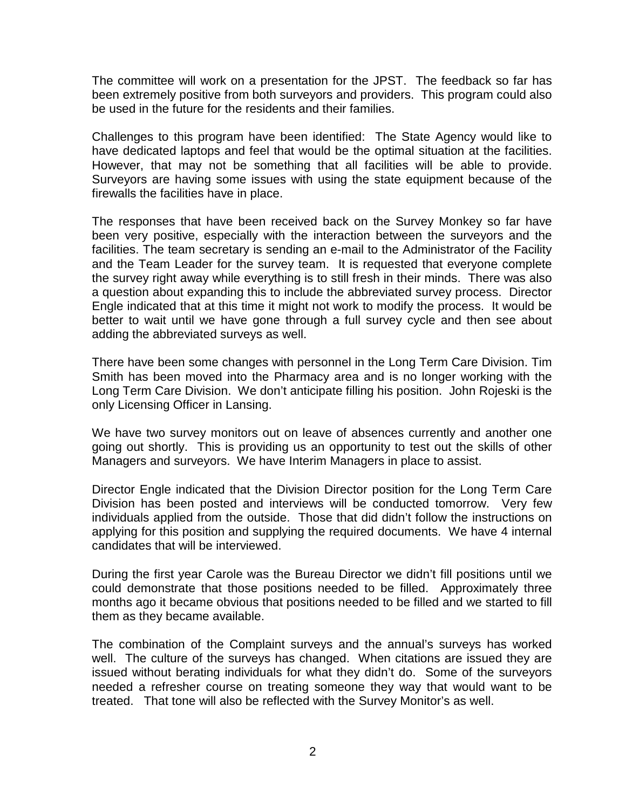The committee will work on a presentation for the JPST. The feedback so far has been extremely positive from both surveyors and providers. This program could also be used in the future for the residents and their families.

Challenges to this program have been identified: The State Agency would like to have dedicated laptops and feel that would be the optimal situation at the facilities. However, that may not be something that all facilities will be able to provide. Surveyors are having some issues with using the state equipment because of the firewalls the facilities have in place.

The responses that have been received back on the Survey Monkey so far have been very positive, especially with the interaction between the surveyors and the facilities. The team secretary is sending an e-mail to the Administrator of the Facility and the Team Leader for the survey team. It is requested that everyone complete the survey right away while everything is to still fresh in their minds. There was also a question about expanding this to include the abbreviated survey process. Director Engle indicated that at this time it might not work to modify the process. It would be better to wait until we have gone through a full survey cycle and then see about adding the abbreviated surveys as well.

There have been some changes with personnel in the Long Term Care Division. Tim Smith has been moved into the Pharmacy area and is no longer working with the Long Term Care Division. We don't anticipate filling his position. John Rojeski is the only Licensing Officer in Lansing.

We have two survey monitors out on leave of absences currently and another one going out shortly. This is providing us an opportunity to test out the skills of other Managers and surveyors. We have Interim Managers in place to assist.

Director Engle indicated that the Division Director position for the Long Term Care Division has been posted and interviews will be conducted tomorrow. Very few individuals applied from the outside. Those that did didn't follow the instructions on applying for this position and supplying the required documents. We have 4 internal candidates that will be interviewed.

During the first year Carole was the Bureau Director we didn't fill positions until we could demonstrate that those positions needed to be filled. Approximately three months ago it became obvious that positions needed to be filled and we started to fill them as they became available.

The combination of the Complaint surveys and the annual's surveys has worked well. The culture of the surveys has changed. When citations are issued they are issued without berating individuals for what they didn't do. Some of the surveyors needed a refresher course on treating someone they way that would want to be treated. That tone will also be reflected with the Survey Monitor's as well.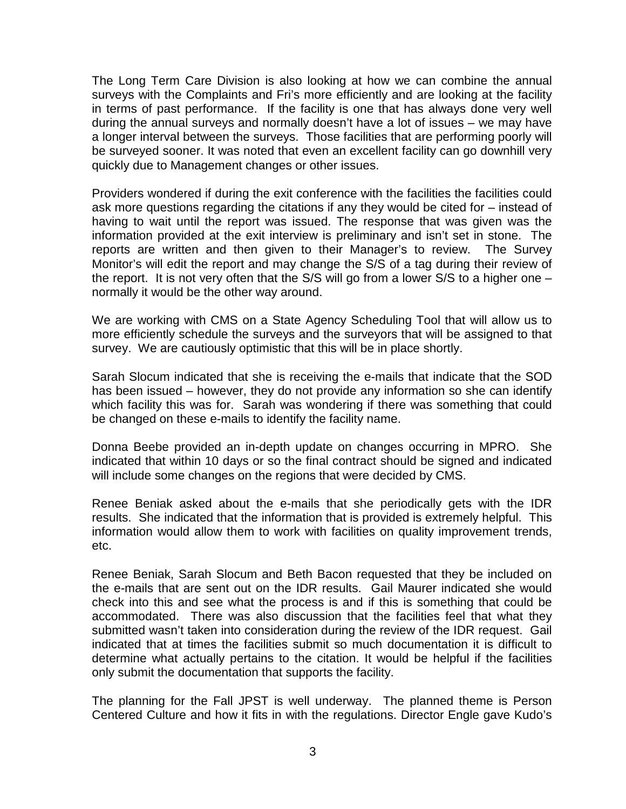The Long Term Care Division is also looking at how we can combine the annual surveys with the Complaints and Fri's more efficiently and are looking at the facility in terms of past performance. If the facility is one that has always done very well during the annual surveys and normally doesn't have a lot of issues – we may have a longer interval between the surveys. Those facilities that are performing poorly will be surveyed sooner. It was noted that even an excellent facility can go downhill very quickly due to Management changes or other issues.

Providers wondered if during the exit conference with the facilities the facilities could ask more questions regarding the citations if any they would be cited for – instead of having to wait until the report was issued. The response that was given was the information provided at the exit interview is preliminary and isn't set in stone. The reports are written and then given to their Manager's to review. The Survey Monitor's will edit the report and may change the S/S of a tag during their review of the report. It is not very often that the S/S will go from a lower S/S to a higher one  $$ normally it would be the other way around.

We are working with CMS on a State Agency Scheduling Tool that will allow us to more efficiently schedule the surveys and the surveyors that will be assigned to that survey. We are cautiously optimistic that this will be in place shortly.

Sarah Slocum indicated that she is receiving the e-mails that indicate that the SOD has been issued – however, they do not provide any information so she can identify which facility this was for. Sarah was wondering if there was something that could be changed on these e-mails to identify the facility name.

Donna Beebe provided an in-depth update on changes occurring in MPRO. She indicated that within 10 days or so the final contract should be signed and indicated will include some changes on the regions that were decided by CMS.

Renee Beniak asked about the e-mails that she periodically gets with the IDR results. She indicated that the information that is provided is extremely helpful. This information would allow them to work with facilities on quality improvement trends, etc.

Renee Beniak, Sarah Slocum and Beth Bacon requested that they be included on the e-mails that are sent out on the IDR results. Gail Maurer indicated she would check into this and see what the process is and if this is something that could be accommodated. There was also discussion that the facilities feel that what they submitted wasn't taken into consideration during the review of the IDR request. Gail indicated that at times the facilities submit so much documentation it is difficult to determine what actually pertains to the citation. It would be helpful if the facilities only submit the documentation that supports the facility.

The planning for the Fall JPST is well underway. The planned theme is Person Centered Culture and how it fits in with the regulations. Director Engle gave Kudo's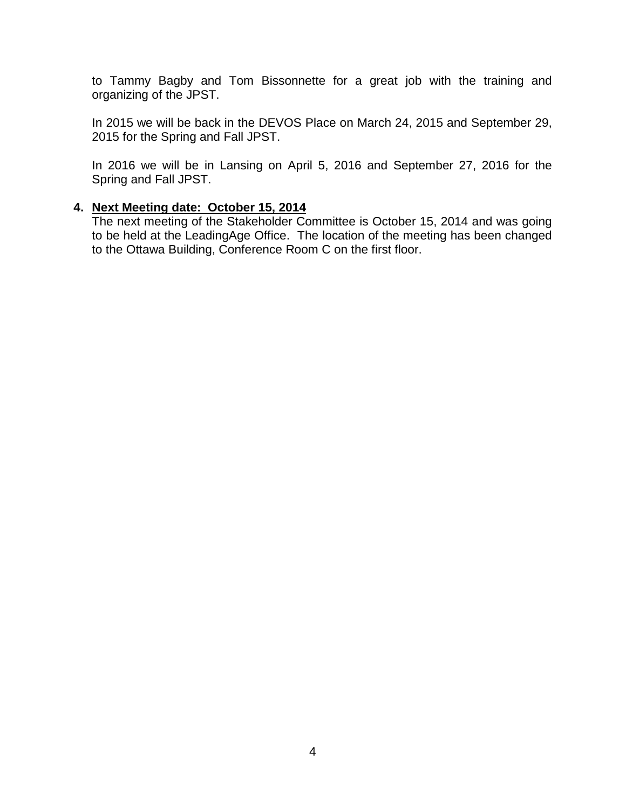to Tammy Bagby and Tom Bissonnette for a great job with the training and organizing of the JPST.

In 2015 we will be back in the DEVOS Place on March 24, 2015 and September 29, 2015 for the Spring and Fall JPST.

In 2016 we will be in Lansing on April 5, 2016 and September 27, 2016 for the Spring and Fall JPST.

#### **4. Next Meeting date: October 15, 2014**

The next meeting of the Stakeholder Committee is October 15, 2014 and was going to be held at the LeadingAge Office. The location of the meeting has been changed to the Ottawa Building, Conference Room C on the first floor.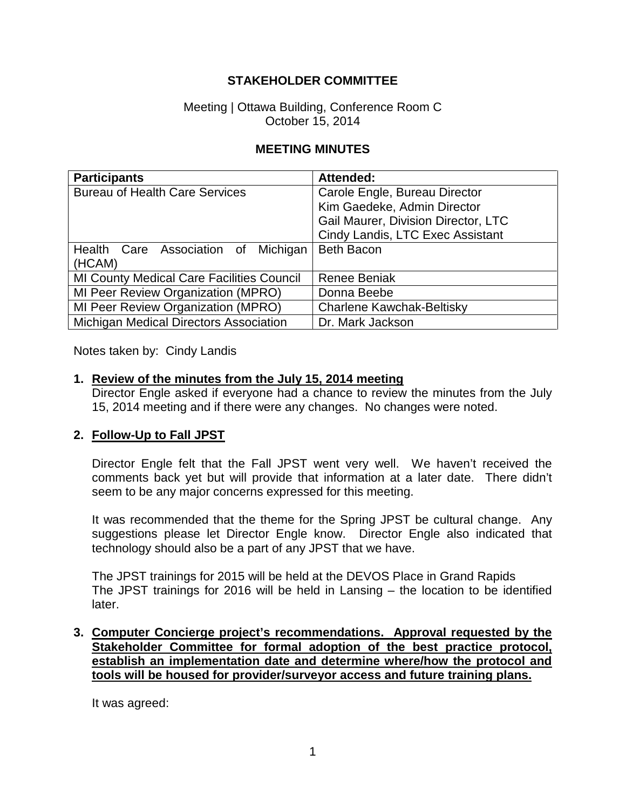### **STAKEHOLDER COMMITTEE**

#### Meeting | Ottawa Building, Conference Room C October 15, 2014

#### **MEETING MINUTES**

| <b>Participants</b>                              | Attended:                           |
|--------------------------------------------------|-------------------------------------|
| <b>Bureau of Health Care Services</b>            | Carole Engle, Bureau Director       |
|                                                  | Kim Gaedeke, Admin Director         |
|                                                  | Gail Maurer, Division Director, LTC |
|                                                  | Cindy Landis, LTC Exec Assistant    |
| Michigan<br>Health Care Association of           | <b>Beth Bacon</b>                   |
| (HCAM)                                           |                                     |
| <b>MI County Medical Care Facilities Council</b> | <b>Renee Beniak</b>                 |
| MI Peer Review Organization (MPRO)               | Donna Beebe                         |
| MI Peer Review Organization (MPRO)               | Charlene Kawchak-Beltisky           |
| Michigan Medical Directors Association           | Dr. Mark Jackson                    |

Notes taken by: Cindy Landis

#### **1. Review of the minutes from the July 15, 2014 meeting**

Director Engle asked if everyone had a chance to review the minutes from the July 15, 2014 meeting and if there were any changes. No changes were noted.

#### **2. Follow-Up to Fall JPST**

Director Engle felt that the Fall JPST went very well. We haven't received the comments back yet but will provide that information at a later date. There didn't seem to be any major concerns expressed for this meeting.

It was recommended that the theme for the Spring JPST be cultural change. Any suggestions please let Director Engle know. Director Engle also indicated that technology should also be a part of any JPST that we have.

The JPST trainings for 2015 will be held at the DEVOS Place in Grand Rapids The JPST trainings for 2016 will be held in Lansing – the location to be identified later.

**3. Computer Concierge project's recommendations. Approval requested by the Stakeholder Committee for formal adoption of the best practice protocol, establish an implementation date and determine where/how the protocol and tools will be housed for provider/surveyor access and future training plans.**

It was agreed: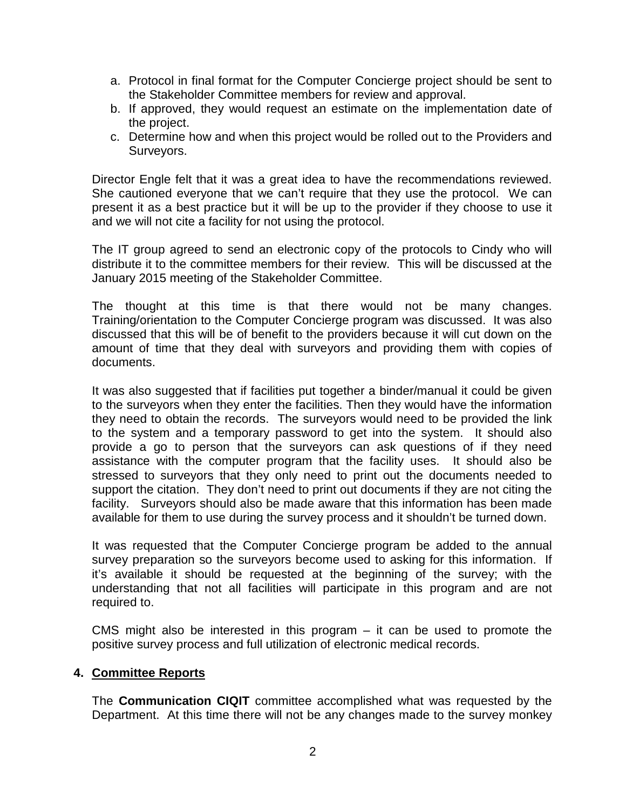- a. Protocol in final format for the Computer Concierge project should be sent to the Stakeholder Committee members for review and approval.
- b. If approved, they would request an estimate on the implementation date of the project.
- c. Determine how and when this project would be rolled out to the Providers and Surveyors.

Director Engle felt that it was a great idea to have the recommendations reviewed. She cautioned everyone that we can't require that they use the protocol. We can present it as a best practice but it will be up to the provider if they choose to use it and we will not cite a facility for not using the protocol.

The IT group agreed to send an electronic copy of the protocols to Cindy who will distribute it to the committee members for their review. This will be discussed at the January 2015 meeting of the Stakeholder Committee.

The thought at this time is that there would not be many changes. Training/orientation to the Computer Concierge program was discussed. It was also discussed that this will be of benefit to the providers because it will cut down on the amount of time that they deal with surveyors and providing them with copies of documents.

It was also suggested that if facilities put together a binder/manual it could be given to the surveyors when they enter the facilities. Then they would have the information they need to obtain the records. The surveyors would need to be provided the link to the system and a temporary password to get into the system. It should also provide a go to person that the surveyors can ask questions of if they need assistance with the computer program that the facility uses. It should also be stressed to surveyors that they only need to print out the documents needed to support the citation. They don't need to print out documents if they are not citing the facility. Surveyors should also be made aware that this information has been made available for them to use during the survey process and it shouldn't be turned down.

It was requested that the Computer Concierge program be added to the annual survey preparation so the surveyors become used to asking for this information. If it's available it should be requested at the beginning of the survey; with the understanding that not all facilities will participate in this program and are not required to.

CMS might also be interested in this program  $-$  it can be used to promote the positive survey process and full utilization of electronic medical records.

#### **4. Committee Reports**

The **Communication CIQIT** committee accomplished what was requested by the Department. At this time there will not be any changes made to the survey monkey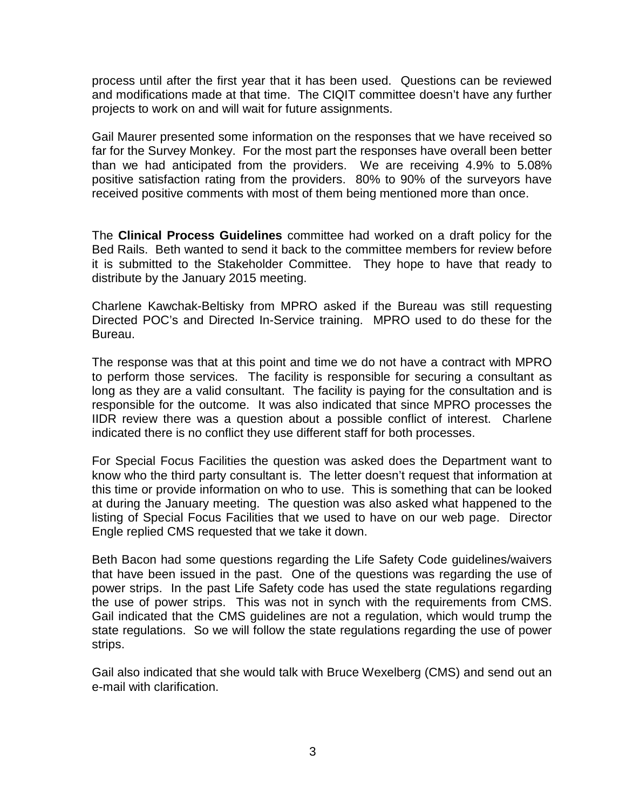process until after the first year that it has been used. Questions can be reviewed and modifications made at that time. The CIQIT committee doesn't have any further projects to work on and will wait for future assignments.

Gail Maurer presented some information on the responses that we have received so far for the Survey Monkey. For the most part the responses have overall been better than we had anticipated from the providers. We are receiving 4.9% to 5.08% positive satisfaction rating from the providers. 80% to 90% of the surveyors have received positive comments with most of them being mentioned more than once.

The **Clinical Process Guidelines** committee had worked on a draft policy for the Bed Rails. Beth wanted to send it back to the committee members for review before it is submitted to the Stakeholder Committee. They hope to have that ready to distribute by the January 2015 meeting.

Charlene Kawchak-Beltisky from MPRO asked if the Bureau was still requesting Directed POC's and Directed In-Service training. MPRO used to do these for the Bureau.

The response was that at this point and time we do not have a contract with MPRO to perform those services. The facility is responsible for securing a consultant as long as they are a valid consultant. The facility is paying for the consultation and is responsible for the outcome. It was also indicated that since MPRO processes the IIDR review there was a question about a possible conflict of interest. Charlene indicated there is no conflict they use different staff for both processes.

For Special Focus Facilities the question was asked does the Department want to know who the third party consultant is. The letter doesn't request that information at this time or provide information on who to use. This is something that can be looked at during the January meeting. The question was also asked what happened to the listing of Special Focus Facilities that we used to have on our web page. Director Engle replied CMS requested that we take it down.

Beth Bacon had some questions regarding the Life Safety Code guidelines/waivers that have been issued in the past. One of the questions was regarding the use of power strips. In the past Life Safety code has used the state regulations regarding the use of power strips. This was not in synch with the requirements from CMS. Gail indicated that the CMS guidelines are not a regulation, which would trump the state regulations. So we will follow the state regulations regarding the use of power strips.

Gail also indicated that she would talk with Bruce Wexelberg (CMS) and send out an e-mail with clarification.